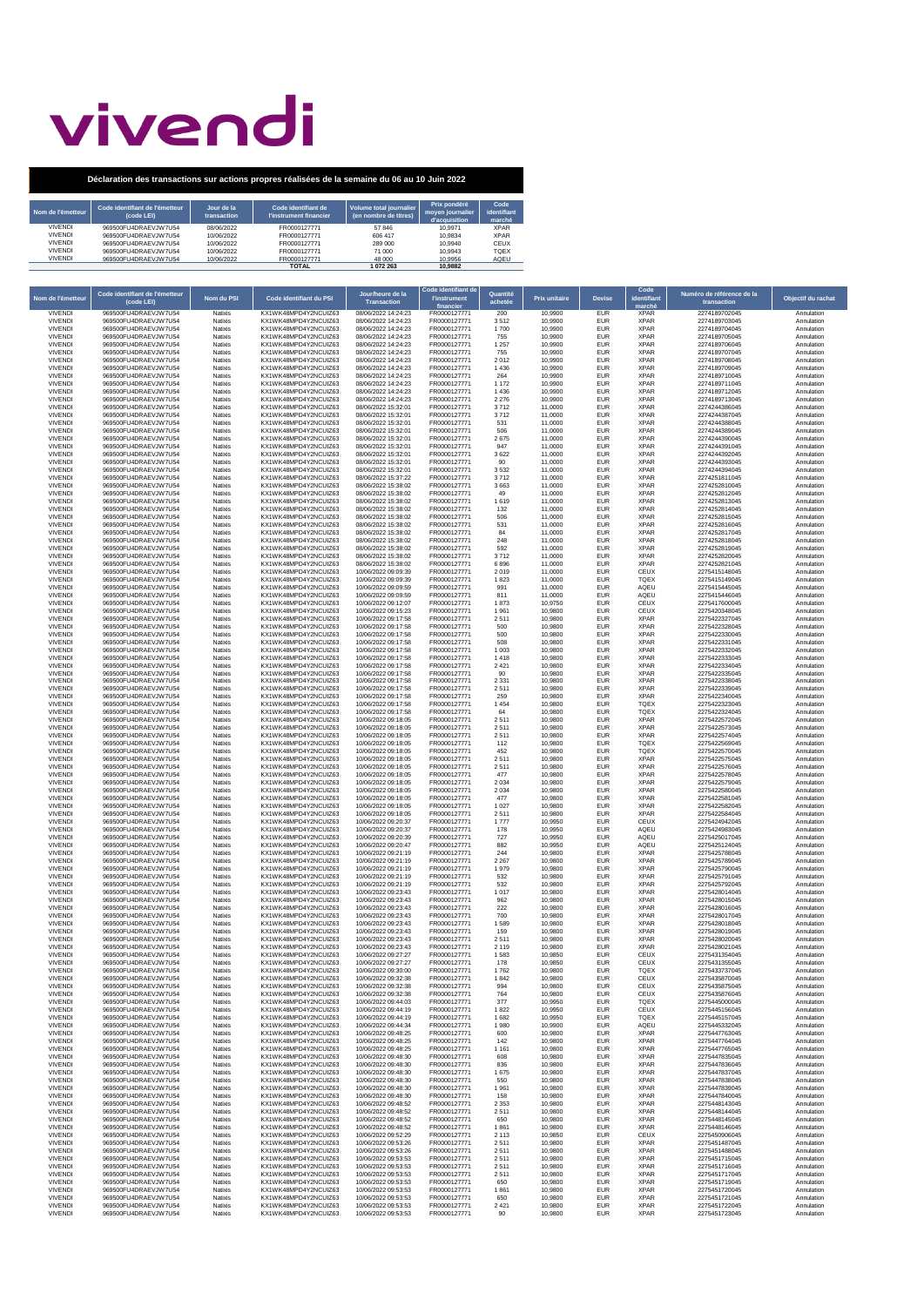## vivendi

**Déclaration des transactions sur actions propres réalisées de la semaine du 06 au 10 Juin 2022**

| Nom de l'émetteur | Code identifiant de l'émetteur<br>(code LEI) | Jour de la<br>transaction | Code identifiant de<br>l'instrument financier | Volume total journalier<br>(en nombre de titres) | Prix pondéré<br>moyen journalier<br>d'acquisition | Code<br>identifiant<br>marché |
|-------------------|----------------------------------------------|---------------------------|-----------------------------------------------|--------------------------------------------------|---------------------------------------------------|-------------------------------|
| <b>VIVENDI</b>    | 969500FU4DRAFV.IW7U54                        | 08/06/2022                | FR0000127771                                  | 57846                                            | 10.9971                                           | <b>XPAR</b>                   |
| <b>VIVENDI</b>    | 969500FU4DRAFV.IW7U54                        | 10/06/2022                | FR0000127771                                  | 606 417                                          | 10.9834                                           | <b>XPAR</b>                   |
| <b>VIVENDI</b>    | 969500FU4DRAFV.IW7U54                        | 10/06/2022                | FR0000127771                                  | 289,000                                          | 10.9940                                           | CEUX                          |
| <b>VIVENDI</b>    | 969500FU4DRAFV.IW7U54                        | 10/06/2022                | FR0000127771                                  | 71,000                                           | 10.9943                                           | <b>TOEX</b>                   |
| <b>VIVENDI</b>    | 969500FU4DRAFV.IW7U54                        | 10/06/2022                | FR0000127771                                  | 48,000                                           | 10.9956                                           | AQEU                          |
|                   |                                              |                           | <b>TOTAL</b>                                  | 1072263                                          | 10.9882                                           |                               |

| Nom de l'émetteur                | Code identifiant de l'émetteur<br>(code LEI)   | Nom du PSI         | Code identifiant du PSI                       | Jour/heure de la<br><b>Transaction</b>     | Code identifiant de<br><b>l'instrument</b><br>financier | Quantité<br>achetée | <b>Prix unitaire</b> | <b>Devise</b>     | Code<br>dentifiant<br>marché | Numéro de référence de la<br>transaction | Objectif du rachat       |
|----------------------------------|------------------------------------------------|--------------------|-----------------------------------------------|--------------------------------------------|---------------------------------------------------------|---------------------|----------------------|-------------------|------------------------------|------------------------------------------|--------------------------|
| <b>VIVEND</b><br><b>VIVENDI</b>  | 969500FU4DRAEVJW7U54<br>969500FU4DRAEVJW7U54   | Natixis            | KX1WK48MPD4Y2NCUIZ63<br>KX1WK48MPD4Y2NCUIZ63  | 08/06/2022 14:24:23                        | FR0000127771<br>FR0000127771                            | 200                 | 10,9900              | <b>EUR</b>        | <b>XPAR</b>                  | 2274189702045<br>2274189703045           | Annulation               |
| <b>VIVENDI</b>                   | 969500FU4DRAEVJW7U54                           | Natixis<br>Natixis | KX1WK48MPD4Y2NCUIZ63                          | 08/06/2022 14:24:23<br>08/06/2022 14:24:23 | FR0000127771                                            | 3512<br>1700        | 10,9900<br>10,9900   | <b>EUR</b><br>EUR | <b>XPAR</b><br><b>XPAR</b>   | 2274189704045                            | Annulation<br>Annulation |
| <b>VIVENDI</b><br><b>VIVENDI</b> | 969500FU4DRAEVJW7U54<br>969500FU4DRAFV.IW7U54  | Natixis<br>Natixis | KX1WK48MPD4Y2NCUIZ63<br>KX1WK48MPD4Y2NCUIZ63  | 08/06/2022 14:24:23<br>08/06/2022 14:24:23 | FR0000127771<br>FR0000127771                            | 755<br>1 2 5 7      | 10,9900              | <b>EUR</b><br>EUR | <b>XPAR</b><br><b>XPAR</b>   | 2274189705045<br>2274189706045           | Annulation               |
| <b>VIVENDI</b>                   | 969500FU4DRAEVJW7U54                           | Natixis            | KX1WK48MPD4Y2NCUIZ63                          | 08/06/2022 14:24:23                        | FR0000127771                                            | 755                 | 10,9900<br>10,9900   | EUR               | <b>XPAR</b>                  | 2274189707045                            | Annulation<br>Annulation |
| <b>VIVENDI</b><br><b>VIVENDI</b> | 969500FU4DRAEVJW7U54<br>969500FU4DRAEVJW7U54   | Natixis<br>Natixis | KX1WK48MPD4Y2NCUIZ63<br>KX1WK48MPD4Y2NCUIZ63  | 08/06/2022 14:24:23<br>08/06/2022 14:24:23 | FR0000127771<br>FR0000127771                            | 2012<br>1436        | 10,9900<br>10,9900   | EUR<br>EUR        | <b>XPAR</b><br><b>XPAR</b>   | 2274189708045<br>2274189709045           | Annulation<br>Annulation |
| <b>VIVEND</b>                    | 969500FU4DRAFV.IW7U54                          | Natixis            | KX1WK48MPD4Y2NCUIZ63                          | 08/06/2022 14:24:23                        | FR000012777                                             | 264                 | 10,9900              | EUR               | <b>XPAR</b>                  | 2274189710045                            | Annulation               |
| <b>VIVENDI</b><br><b>VIVENDI</b> | 969500FU4DRAEVJW7U54<br>969500FU4DRAEVJW7U54   | Natixis<br>Natixis | KX1WK48MPD4Y2NCUIZ63<br>KX1WK48MPD4Y2NCUIZ63  | 08/06/2022 14:24:23<br>08/06/2022 14:24:23 | FR0000127771<br>FR0000127771                            | 1 172<br>1436       | 10,9900<br>10,9900   | EUR<br>EUR        | <b>XPAR</b><br><b>XPAR</b>   | 2274189711045<br>2274189712045           | Annulation<br>Annulation |
| <b>VIVENDI</b>                   | 969500FU4DRAEVJW7U54                           | Natixis            | KX1WK48MPD4Y2NCUIZ63                          | 08/06/2022 14:24:23                        | FR0000127771                                            | 2 2 7 6             | 10,9900              | EUR               | <b>XPAR</b>                  | 2274189713045                            | Annulation               |
| <b>VIVENDI</b><br><b>VIVENDI</b> | 969500FU4DRAEVJW7U54<br>969500FU4DRAEVJW7U54   | Natixis<br>Natixis | KX1WK48MPD4Y2NCUIZ63<br>KX1WK48MPD4Y2NCUIZ63  | 08/06/2022 15:32:01<br>08/06/2022 15:32:01 | FR0000127771<br>FR0000127771                            | 3712<br>3712        | 11,0000<br>11,0000   | EUR<br>EUR        | <b>XPAR</b><br><b>XPAR</b>   | 2274244386045<br>2274244387045           | Annulation<br>Annulation |
| <b>VIVENDI</b>                   | 969500FU4DRAEVJW7U54                           | Natixis            | KX1WK48MPD4Y2NCUIZ63                          | 08/06/2022 15:32:01                        | FR0000127771                                            | 531                 | 11,0000              | EUR               | <b>XPAR</b>                  | 2274244388045                            | Annulation               |
| <b>VIVENDI</b><br><b>VIVENDI</b> | 969500FU4DRAEVJW7U54<br>969500FU4DRAEVJW7U54   | Natixis<br>Natixis | KX1WK48MPD4Y2NCUIZ63<br>KX1WK48MPD4Y2NCUIZ63  | 08/06/2022 15:32:01<br>08/06/2022 15:32:01 | FR0000127771<br>FR0000127771                            | 506<br>2675         | 11,0000<br>11,0000   | EUR<br>EUR        | <b>XPAR</b><br><b>XPAR</b>   | 2274244389045<br>2274244390045           | Annulation<br>Annulation |
| <b>VIVENDI</b>                   | 969500FU4DRAFV.IW7U54                          | Natixis            | KX1WK48MPD4Y2NCUIZ63                          | 08/06/2022 15:32:01                        | FR0000127771                                            | 947                 | 11,0000              | EUR               | <b>XPAR</b>                  | 2274244391045                            | Annulation               |
| <b>VIVENDI</b><br><b>VIVENDI</b> | 969500FU4DRAFV.IW7U54<br>969500FU4DRAEVJW7U54  | Natixis<br>Natixis | KX1WK48MPD4Y2NCUIZ63<br>KX1WK48MPD4Y2NCUIZ63  | 08/06/2022 15:32:01<br>08/06/2022 15:32:01 | FR000012777<br>FR000012777                              | 3622<br>90          | 11,0000<br>11,0000   | EUR<br>EUR        | <b>XPAR</b><br><b>XPAR</b>   | 2274244392045<br>2274244393045           | Annulation<br>Annulation |
| <b>VIVENDI</b>                   | 969500FU4DRAEVJW7U54                           | Natixis            | KX1WK48MPD4Y2NCUIZ63                          | 08/06/2022 15:32:01                        | FR0000127771                                            | 3532                | 11,0000              | EUR               | <b>XPAR</b>                  | 2274244394045                            | Annulation               |
| <b>VIVENDI</b><br><b>VIVENDI</b> | 969500FU4DRAEVJW7U54<br>969500FU4DRAEVJW7U54   | Natixis<br>Natixis | KX1WK48MPD4Y2NCUIZ63<br>KX1WK48MPD4Y2NCUIZ63  | 08/06/2022 15:37:22<br>08/06/2022 15:38:02 | FR0000127771<br>FR0000127771                            | 3712<br>3663        | 11,0000<br>11,0000   | EUR<br>EUR        | <b>XPAR</b><br><b>XPAR</b>   | 2274251811045<br>2274252810045           | Annulation<br>Annulation |
| <b>VIVENDI</b>                   | 969500FU4DRAFV.IW7U54                          | Natixis            | KX1WK48MPD4Y2NCUIZ63                          | 08/06/2022 15:38:02<br>08/06/2022 15:38:02 | FR0000127771                                            | 49                  | 11,0000              | EUR               | <b>XPAR</b>                  | 2274252812045                            | Annulation               |
| <b>VIVENDI</b><br><b>VIVENDI</b> | 969500FU4DRAEVJW7U54<br>969500FU4DRAEVJW7U54   | Natixis<br>Natixis | KX1WK48MPD4Y2NCUIZ63<br>KX1WK48MPD4Y2NCUIZ63  | 08/06/2022 15:38:02                        | FR0000127771<br>FR0000127771                            | 1619<br>132         | 11,0000<br>11,0000   | EUR<br>EUR        | <b>XPAR</b><br><b>XPAR</b>   | 2274252813045<br>2274252814045           | Annulation<br>Annulation |
| <b>VIVEND</b><br><b>VIVENDI</b>  | 969500FU4DRAEVJW7U54<br>969500FU4DRAEVJW7U54   | Natixis<br>Natixis | KX1WK48MPD4Y2NCUIZ63<br>KX1WK48MPD4Y2NCUIZ63  | 08/06/2022 15:38:02<br>08/06/2022 15:38:02 | FR000012777<br>FR0000127771                             | 506<br>531          | 11,0000<br>11,0000   | EUR<br>EUR        | <b>XPAR</b><br><b>XPAR</b>   | 2274252815045<br>2274252816045           | Annulation<br>Annulation |
| <b>VIVENDI</b>                   | 969500FU4DRAEVJW7U54                           | Natixis            | KX1WK48MPD4Y2NCUIZ63                          | 08/06/2022 15:38:02                        | FR0000127771                                            | 84                  | 11,0000              | EUR               | <b>XPAR</b>                  | 2274252817045                            | Annulation               |
| <b>VIVENDI</b><br><b>VIVENDI</b> | 969500FU4DRAEVJW7U54<br>969500FU4DRAEVJW7U54   | Natixis<br>Natixis | KX1WK48MPD4Y2NCUIZ63<br>KX1WK48MPD4Y2NCUIZ63  | 08/06/2022 15:38:02<br>08/06/2022 15:38:02 | FR0000127771<br>FR0000127771                            | 248<br>592          | 11,0000<br>11,0000   | EUR<br>EUR        | <b>XPAR</b><br><b>XPAR</b>   | 2274252818045<br>2274252819045           | Annulation<br>Annulation |
| <b>VIVENDI</b>                   | 969500FU4DRAEVJW7U54                           | Natixis            | KX1WK48MPD4Y2NCUIZ63                          | 08/06/2022 15:38:02                        | FR0000127771                                            | 3712                | 11,0000              | EUR               | <b>XPAR</b>                  | 2274252820045                            | Annulation               |
| <b>VIVENDI</b><br><b>VIVEND</b>  | 969500FU4DRAEVJW7U54<br>969500FU4DRAEVJW7U54   | Natixis<br>Natixis | KX1WK48MPD4Y2NCUIZ63<br>KX1WK48MPD4Y2NCUIZ63  | 08/06/2022 15:38:02<br>10/06/2022 09:09:39 | FR0000127771<br>FR0000127771                            | 6896<br>2019        | 11,0000<br>11,0000   | EUR<br>EUR        | <b>XPAR</b><br>CEUX          | 2274252821045<br>2275415148045           | Annulation<br>Annulation |
| <b>VIVENDI</b>                   | 969500FU4DRAEVJW7U54                           | Natixis            | KX1WK48MPD4Y2NCUIZ63                          | 10/06/2022 09:09:39                        | FR0000127771                                            | 1823                | 11,0000              | EUR               | <b>TQEX</b>                  | 2275415149045                            | Annulation               |
| <b>VIVENDI</b><br><b>VIVENDI</b> | 969500FU4DRAEVJW7U54<br>969500FU4DRAEVJW7U54   | Natixis<br>Natixis | KX1WK48MPD4Y2NCUIZ63<br>KX1WK48MPD4Y2NCUIZ63  | 10/06/2022 09:09:59<br>10/06/2022 09:09:59 | FR0000127771<br>FR0000127771                            | 991<br>811          | 11,0000<br>11,0000   | EUR<br>EUR        | AQEU<br>AQEU                 | 2275415445045<br>2275415446045           | Annulation<br>Annulation |
| <b>VIVENDI</b>                   | 969500FU4DRAFV.IW7U54                          | Natixis            | KX1WK48MPD4Y2NCUIZ63                          | 10/06/2022 09:12:07                        | FR0000127771                                            | 1873                | 10,9750              | EUR               | CEUX                         | 2275417600045                            | Annulation               |
| <b>VIVENDI</b><br><b>VIVENDI</b> | 969500FU4DRAEVJW7U54<br>969500FU4DRAEVJW7U54   | Natixis<br>Natixis | KX1WK48MPD4Y2NCUIZ63<br>KX1WK48MPD4Y2NCUIZ63  | 10/06/2022 09:15:23<br>10/06/2022 09:17:58 | FR0000127771<br>FR0000127771                            | 1961<br>2511        | 10,9800<br>10,9800   | EUR<br>EUR        | CEUX<br><b>XPAR</b>          | 2275420348045<br>2275422327045           | Annulation<br>Annulation |
| <b>VIVEND</b>                    | 969500FU4DRAFV.IW7U54                          | Natixis            | KX1WK48MPD4Y2NCUIZ63                          | 10/06/2022 09:17:58                        | FR0000127771                                            | 500                 | 10,9800              | EUR               | <b>XPAR</b>                  | 2275422328045                            | Annulation               |
| <b>VIVENDI</b><br><b>VIVENDI</b> | 969500FU4DRAEVJW7U54<br>969500FU4DRAEVJW7U54   | Natixis<br>Natixis | KX1WK48MPD4Y2NCUIZ63<br>KX1WK48MPD4Y2NCUIZ63  | 10/06/2022 09:17:58<br>10/06/2022 09:17:58 | FR0000127771<br>FR0000127771                            | 500<br>508          | 10,9800<br>10,9800   | EUR<br>EUR        | <b>XPAR</b><br><b>XPAR</b>   | 2275422330045<br>2275422331045           | Annulation<br>Annulation |
| <b>VIVENDI</b>                   | 969500FU4DRAEVJW7U54                           | Natixis            | KX1WK48MPD4Y2NCUIZ63                          | 10/06/2022 09:17:58                        | FR000012777                                             | 1 0 0 3             | 10,9800              | EUR               | <b>XPAR</b>                  | 2275422332045                            | Annulation               |
| <b>VIVENDI</b><br><b>VIVENDI</b> | 969500FU4DRAEVJW7U54<br>969500FU4DRAEVJW7U54   | Natixis<br>Natixis | KX1WK48MPD4Y2NCUIZ63<br>KX1WK48MPD4Y2NCUIZ63  | 10/06/2022 09:17:58<br>10/06/2022 09:17:58 | FR0000127771<br>FR000012777                             | 1418<br>2 4 21      | 10,9800<br>10,9800   | EUR<br>EUR        | <b>XPAR</b><br><b>XPAR</b>   | 2275422333045<br>2275422334045           | Annulation<br>Annulation |
| <b>VIVEND</b>                    | 969500FU4DRAEVJW7U54<br>969500FU4DRAEVJW7U54   | Natixis            | KX1WK48MPD4Y2NCUIZ63                          | 10/06/2022 09:17:58<br>10/06/2022 09:17:58 | FR000012777                                             | 90                  | 10,9800              | EUR               | <b>XPAR</b>                  | 2275422335045<br>2275422338045           | Annulation               |
| <b>VIVENDI</b><br><b>VIVENDI</b> | 969500FU4DRAEVJW7U54                           | Natixis<br>Natixis | KX1WK48MPD4Y2NCUIZ63<br>KX1WK48MPD4Y2NCUIZ63  | 10/06/2022 09:17:58                        | FR0000127771<br>FR0000127771                            | 2 3 3 1<br>2511     | 10,9800<br>10,9800   | EUR<br>EUR        | <b>XPAR</b><br><b>XPAR</b>   | 2275422339045                            | Annulation<br>Annulation |
| <b>VIVENDI</b><br><b>VIVENDI</b> | 969500FU4DRAEVJW7U54<br>969500FU4DRAEVJW7U54   | Natixis<br>Natixis | KX1WK48MPD4Y2NCUIZ63<br>KX1WK48MPD4Y2NCUIZ63  | 10/06/2022 09:17:58<br>10/06/2022 09:17:58 | FR0000127771<br>FR0000127771                            | 259<br>1 4 5 4      | 10,9800<br>10,9800   | EUR<br>EUR        | <b>XPAR</b><br>TQEX          | 2275422340045<br>2275422323045           | Annulation<br>Annulation |
| <b>VIVEND</b>                    | 969500FU4DRAFV.IW7U54                          | Natixis            | KX1WK48MPD4Y2NCUIZ63                          | 10/06/2022 09:17:58                        | FR0000127771                                            | 64                  | 10,9800              | EUR               | <b>TOEX</b>                  | 2275422324045                            | Annulation               |
| <b>VIVENDI</b><br><b>VIVENDI</b> | 969500FU4DRAEVJW7U54<br>969500FU4DRAEVJW7U54   | Natixis<br>Natixis | KX1WK48MPD4Y2NCUIZ63<br>KX1WK48MPD4Y2NCUIZ63  | 10/06/2022 09:18:05<br>10/06/2022 09:18:05 | FR0000127771<br>FR0000127771                            | 2511<br>2511        | 10,9800<br>10,9800   | EUR<br>EUR        | <b>XPAR</b><br><b>XPAR</b>   | 2275422572045<br>2275422573045           | Annulation<br>Annulation |
| <b>VIVENDI</b>                   | 969500FU4DRAEVJW7U54                           | Natixis            | KX1WK48MPD4Y2NCUIZ63                          | 10/06/2022 09:18:05                        | FR0000127771                                            | 2511                | 10,9800              | EUR               | <b>XPAR</b>                  | 2275422574045                            | Annulation               |
| <b>VIVENDI</b><br><b>VIVENDI</b> | 969500FU4DRAEVJW7U54<br>969500FU4DRAEVJW7U54   | Natixis<br>Natixis | KX1WK48MPD4Y2NCUIZ63<br>KX1WK48MPD4Y2NCUIZ63  | 10/06/2022 09:18:05<br>10/06/2022 09:18:05 | FR0000127771<br>FR0000127771                            | 112<br>452          | 10,9800<br>10,9800   | EUR<br>EUR        | TQEX<br><b>TQEX</b>          | 2275422569045<br>2275422570045           | Annulation<br>Annulation |
| <b>VIVENDI</b>                   | 969500FU4DRAEVJW7U54                           | Natixis            | KX1WK48MPD4Y2NCUIZ63                          | 10/06/2022 09:18:05                        | FR0000127771                                            | 2511                | 10,9800              | EUR               | <b>XPAR</b>                  | 2275422575045                            | Annulation               |
| <b>VIVEND</b><br><b>VIVENDI</b>  | 969500FU4DRAEVJW7U54<br>969500FU4DRAEVJW7U54   | Natixis<br>Natixis | KX1WK48MPD4Y2NCUIZ63<br>KX1WK48MPD4Y2NCUIZ63  | 10/06/2022 09:18:05<br>10/06/2022 09:18:05 | FR0000127771<br>FR0000127771                            | 2511<br>477         | 10,9800<br>10,9800   | EUR<br>EUR        | <b>XPAR</b><br><b>XPAR</b>   | 2275422576045<br>2275422578045           | Annulation<br>Annulation |
| <b>VIVENDI</b>                   | 969500FU4DRAEVJW7U54                           | Natixis            | KX1WK48MPD4Y2NCUIZ63                          | 10/06/2022 09:18:05                        | FR0000127771                                            | 2 0 3 4             | 10,9800              | EUR               | <b>XPAR</b>                  | 2275422579045                            | Annulation               |
| <b>VIVENDI</b><br><b>VIVENDI</b> | 969500FU4DRAEVJW7U54<br>969500FU4DRAEVJW7U54   | Natixis<br>Natixis | KX1WK48MPD4Y2NCUIZ63<br>KX1WK48MPD4Y2NCUIZ63  | 10/06/2022 09:18:05<br>10/06/2022 09:18:05 | FR0000127771<br>FR0000127771                            | 2 0 3 4<br>477      | 10,9800<br>10,9800   | EUR<br>EUR        | <b>XPAR</b><br><b>XPAR</b>   | 2275422580045<br>2275422581045           | Annulation<br>Annulation |
| <b>VIVENDI</b>                   | 969500FU4DRAEVJW7U54                           | Natixis<br>Natixis | KX1WK48MPD4Y2NCUIZ63                          | 10/06/2022 09:18:05                        | FR0000127771                                            | 1 0 2 7             | 10,9800              | EUR               | <b>XPAR</b><br><b>XPAR</b>   | 2275422582045                            | Annulation               |
| <b>VIVENDI</b><br><b>VIVEND</b>  | 969500FU4DRAEVJW7U54<br>969500FU4DRAEVJW7U54   | Natixis            | KX1WK48MPD4Y2NCUIZ63<br>KX1WK48MPD4Y2NCUIZ63  | 10/06/2022 09:18:05<br>10/06/2022 09:20:37 | FR0000127771<br>FR0000127771                            | 2511<br>1777        | 10,9800<br>10,9950   | EUR<br>EUR        | CEUX                         | 2275422584045<br>2275424942045           | Annulation<br>Annulation |
| <b>VIVENDI</b><br><b>VIVENDI</b> | 969500FU4DRAEVJW7U54<br>969500FU4DRAEVJW7U54   | Natixis<br>Natixis | KX1WK48MPD4Y2NCUIZ63<br>KX1WK48MPD4Y2NCUIZ63  | 10/06/2022 09:20:37<br>10/06/2022 09:20:39 | FR0000127771<br>FR0000127771                            | 178<br>727          | 10,9950<br>10.9950   | EUR<br>EUR        | AQEU<br>AQEU                 | 2275424983045<br>2275425017045           | Annulation<br>Annulation |
| <b>VIVENDI</b>                   | 969500FU4DRAEVJW7U54                           | Natixis            | KX1WK48MPD4Y2NCUIZ63                          | 10/06/2022 09:20:47                        | FR000012777                                             | 882                 | 10,9950              | EUR               | AQEU                         | 2275425124045                            | Annulation               |
| <b>VIVENDI</b><br><b>VIVENDI</b> | 969500FU4DRAEVJW7U54<br>969500FU4DRAEVJW7U54   | Natixis<br>Natixis | KX1WK48MPD4Y2NCUIZ63<br>KX1WK48MPD4Y2NCUIZ63  | 10/06/2022 09:21:19<br>10/06/2022 09:21:19 | FR0000127771<br>FR0000127771                            | 244<br>2 2 6        | 10,9800<br>10,9800   | EUR<br>EUR        | <b>XPAR</b><br><b>XPAR</b>   | 2275425788045<br>2275425789045           | Annulation<br>Annulation |
| <b>VIVENDI</b>                   | 969500FU4DRAEVJW7U54                           | Natixis            | KX1WK48MPD4Y2NCUIZ63                          | 10/06/2022 09:21:19                        | FR0000127771                                            | 1979                | 10,9800              | EUR               | <b>XPAR</b>                  | 2275425790045                            | Annulation               |
| <b>VIVENDI</b><br><b>VIVEND</b>  | 969500FU4DRAEVJW7U54<br>969500FU4DRAEVJW7U54   | Natixis<br>Natixis | KX1WK48MPD4Y2NCUIZ63<br>KX1WK48MPD4Y2NCUIZ63  | 10/06/2022 09:21:19<br>10/06/2022 09:21:19 | FR0000127771<br>FR0000127771                            | 532<br>532          | 10,9800<br>10,9800   | EUR<br>EUR        | <b>XPAR</b><br><b>XPAR</b>   | 2275425791045<br>2275425792045           | Annulation<br>Annulation |
| <b>VIVENDI</b>                   | 969500FU4DRAEVJW7U54                           | Natixis            | KX1WK48MPD4Y2NCUIZ63                          | 10/06/2022 09:23:43                        | FR0000127771                                            | 1017                | 10,9800              | EUR               | <b>XPAR</b>                  | 2275428014045                            | Annulation               |
| <b>VIVENDI</b><br><b>VIVEND</b>  | 969500FU4DRAEVJW7U54<br>969500FU4DRAFV.IW7U54  | Natixis<br>Natixis | KX1WK48MPD4Y2NCUIZ63<br>KX1WK48MPD4Y2NCUIZ63  | 10/06/2022 09:23:43<br>10/06/2022 09:23:43 | FR0000127771<br>FR0000127771                            | 962<br>222          | 10,9800<br>10,9800   | EUR<br>EUR        | <b>XPAR</b><br><b>XPAR</b>   | 2275428015045<br>2275428016045           | Annulation<br>Annulation |
| <b>VIVENDI</b>                   | 969500FU4DRAEVJW7U54                           | Natixis            | KX1WK48MPD4Y2NCUIZ63                          | 10/06/2022 09:23:43                        | FR000012777                                             | 700                 | 10,9800              | EUR               | <b>XPAR</b>                  | 2275428017045                            | Annulation               |
| <b>VIVENDI</b><br><b>VIVENDI</b> | 969500FU4DRAEVJW7U54<br>969500FU4DRAEVJW7U54   | Natixis<br>Natixis | KX1WK48MPD4Y2NCUIZ63<br>KX1WK48MPD4Y2NCUIZ63  | 10/06/2022 09:23:43<br>10/06/2022 09:23:43 | FR0000127771<br>FR0000127771                            | 1589<br>159         | 10,9800<br>10,9800   | EUR<br>EUR        | <b>XPAR</b><br><b>XPAR</b>   | 2275428018045<br>2275428019045           | Annulation<br>Annulation |
| <b>VIVEND</b><br><b>VIVEND</b>   | 969500FU4DRAEVJW7U54<br>969500FU4DRAEVJW7U54   | Natixis            | KX1WK48MPD4Y2NCUIZ63<br>KX1WK48MPD4Y2NCUIZ63  | 10/06/2022 09:23:43<br>10/06/2022 09:23:43 | FR000012777                                             | 2511                | 10,9800<br>10,9800   | EUR<br>EUR        | <b>XPAR</b><br><b>XPAR</b>   | 2275428020045<br>2275428021045           | Annulation               |
| <b>VIVEND</b>                    | 969500FU4DRAEVJW7U54                           | Natixis<br>Natixis | KX1WK48MPD4Y2NCUIZ63                          | 10/06/2022 09:27:27                        | FR0000127771<br>FR000012777                             | 2 1 1 9<br>1583     | 10,9850              | EUR               | CEUX                         | 2275431354045                            | Annulation<br>Annulation |
| <b>VIVEND</b><br><b>VIVEND</b>   | 969500FU4DRAFV.IW7U54<br>969500FU4DRAFV.IW7U54 | Natixis<br>Natixis | KX1WK48MPD4Y2NCUIZ63<br>KX1WK48MPD4Y2NCUIZ63  | 10/06/2022 09:27:27<br>10/06/2022 09:30:00 | FR000012777<br>FR0000127771                             | 178<br>1762         | 10,9850<br>10,9800   | EUR<br>EUR        | CEUX<br><b>TQEX</b>          | 2275431355045<br>2275433737045           | Annulation<br>Annulation |
| <b>VIVENDI</b>                   | 969500FU4DRAEVJW7U54                           | Natixis            | KX1WK48MPD4Y2NCUIZ63                          | 10/06/2022 09:32:38                        | FR0000127771                                            | 1842                | 10,9800              | EUR               | CEUX                         | 2275435870045                            | Annulation               |
| VIVEND<br><b>VIVENDI</b>         | 969500FU4DRAEVJW7U54<br>969500FU4DRAFV.IW7U54  | Natixis<br>Natixis | KX1WK48MPD4Y2NCUIZ63<br>KX1WK48MPD4Y2NCUIZ63  | 10/06/2022 09:32:38<br>10/06/2022 09:32:38 | FR0000127771<br>FR0000127771                            | yy.<br>764          | 10.980C<br>10,9800   | EUR<br><b>EUR</b> | CEUX<br>CEUX                 | 22/54358/5045<br>2275435876045           | Annulation<br>Annulation |
| <b>VIVENDI</b>                   | 969500FU4DRAEVJW7U54                           | Natixis            | KX1WK48MPD4Y2NCUIZ63                          | 10/06/2022 09:44:03                        | FR0000127771                                            | 377                 | 10,9950              | EUR               | TQEX                         | 2275445000045                            | Annulation               |
| <b>VIVENDI</b><br><b>VIVENDI</b> | 969500FU4DRAEVJW7U54<br>969500FU4DRAFV.IW7U54  | Natixis<br>Natixis | KX1WK48MPD4Y2NCUIZ63<br>KX1WK48MPD4Y2NCUIZ63  | 10/06/2022 09:44:19<br>10/06/2022 09:44:19 | FR0000127771<br>FR0000127771                            | 1822<br>1682        | 10.9950<br>10,9950   | EUR<br>EUR        | CEUX<br><b>TQEX</b>          | 2275445156045<br>2275445157045           | Annulation<br>Annulation |
| <b>VIVENDI</b>                   | 969500FU4DRAEVJW7U54                           | Natixis            | KX1WK48MPD4Y2NCUIZ63                          | 10/06/2022 09:44:34                        | FR0000127771                                            | 1980                | 10,9900              | EUR               | AQEU                         | 2275445332045                            | Annulation               |
| <b>VIVENDI</b><br><b>VIVENDI</b> | 969500FU4DRAEVJW7U54<br>969500FU4DRAEVJW7U54   | Natixis<br>Natixis | KX1WK48MPD4Y2NCUIZ63<br>KX1WK48MPD4Y2NCUIZ63  | 10/06/2022 09:48:25<br>10/06/2022 09:48:25 | FR0000127771<br>FR0000127771                            | 600<br>142          | 10,9800<br>10,9800   | EUR<br>EUR        | <b>XPAR</b><br><b>XPAR</b>   | 2275447763045<br>2275447764045           | Annulation<br>Annulation |
| <b>VIVENDI</b>                   | 969500FU4DRAEVJW7U54                           | Natixis            | KX1WK48MPD4Y2NCUIZ63                          | 10/06/2022 09:48:25                        | FR0000127771                                            | 1 1 6 1             | 10,9800              | EUR               | <b>XPAR</b>                  | 2275447765045                            | Annulation               |
| <b>VIVENDI</b><br><b>VIVENDI</b> | 969500FU4DRAFV.IW7U54<br>969500FU4DRAEVJW7U54  | Natixis<br>Natixis | KX1WK48MPD4Y2NCUIZ63<br>KX1WK48MPD4Y2NCUIZ63  | 10/06/2022 09:48:30<br>10/06/2022 09:48:30 | FR0000127771<br>FR0000127771                            | 608<br>836          | 10,9800<br>10,9800   | <b>EUR</b><br>EUR | <b>XPAR</b><br><b>XPAR</b>   | 2275447835045<br>2275447836045           | Annulation<br>Annulation |
| <b>VIVENDI</b>                   | 969500FU4DRAEVJW7U54                           | Natixis            | KX1WK48MPD4Y2NCUIZ63                          | 10/06/2022 09:48:30                        | FR0000127771                                            | 1675                | 10,9800              | EUR               | <b>XPAR</b>                  | 2275447837045                            | Annulation               |
| <b>VIVENDI</b><br><b>VIVENDI</b> | 969500FU4DRAFV.IW7U54<br>969500FU4DRAEVJW7U54  | Natixis<br>Natixis | KX1WK48MPD4Y2NCUIZ63<br>KX1WK48MPD4Y2NCUIZ63  | 10/06/2022 09:48:30<br>10/06/2022 09:48:30 | FR0000127771<br>FR0000127771                            | 550<br>1961         | 10,9800<br>10,9800   | <b>EUR</b><br>EUR | <b>XPAR</b><br><b>XPAR</b>   | 2275447838045<br>2275447839045           | Annulation<br>Annulation |
| <b>VIVENDI</b>                   | 969500FU4DRAEVJW7U54                           | Natixis            | KX1WK48MPD4Y2NCUIZ63                          | 10/06/2022 09:48:30                        | FR0000127771                                            | 158                 | 10,9800              | EUR               | <b>XPAR</b>                  | 2275447840045                            | Annulation               |
| <b>VIVENDI</b><br><b>VIVENDI</b> | 969500FU4DRAFV.IW7U54<br>969500FU4DRAEVJW7U54  | Natixis<br>Natixis | KX1WK48MPD4Y2NCUIZ63<br>KX1WK48MPD4Y2NCUIZ63  | 10/06/2022 09:48:52<br>10/06/2022 09:48:52 | FR0000127771<br>FR0000127771                            | 2 3 5 3<br>2511     | 10,9800<br>10,9800   | <b>FUR</b><br>EUR | <b>XPAR</b><br><b>XPAR</b>   | 2275448143045<br>2275448144045           | Annulation<br>Annulation |
| <b>VIVENDI</b>                   | 969500FU4DRAEVJW7U54                           | Natixis            | KX1WK48MPD4Y2NCUIZ63                          | 10/06/2022 09:48:52                        | FR0000127771                                            | 650                 | 10,9800              | EUR               | <b>XPAR</b>                  | 2275448145045                            | Annulation               |
| <b>VIVENDI</b><br><b>VIVENDI</b> | 969500FU4DRAEVJW7U54<br>969500FU4DRAEVJW7U54   | Natixis<br>Natixis | KX1WK48MPD4Y2NCUIZ63<br>KX1WK48MPD4Y2NCLIIZ63 | 10/06/2022 09:48:52<br>10/06/2022 09:52:29 | FR0000127771<br>FR0000127771                            | 1861<br>2 1 1 3     | 10,9800<br>10,9850   | <b>EUR</b><br>EUR | <b>XPAR</b><br>CEUX          | 2275448146045<br>2275450906045           | Annulation<br>Annulation |
| <b>VIVENDI</b>                   | 969500FU4DRAFV.IW7U54                          | Natixis            | KX1WK48MPD4Y2NCUIZ63                          | 10/06/2022 09:53:26                        | FR0000127771                                            | 2511                | 10,9800              | <b>EUR</b>        | <b>XPAR</b>                  | 2275451487045                            | Annulation               |
| <b>VIVENDI</b><br><b>VIVENDI</b> | 969500FU4DRAEVJW7U54<br>969500FU4DRAEVJW7U54   | Natixis<br>Natixis | KX1WK48MPD4Y2NCUIZ63<br>KX1WK48MPD4Y2NCUIZ63  | 10/06/2022 09:53:26<br>10/06/2022 09:53:53 | FR0000127771<br>FR0000127771                            | 2511<br>2511        | 10,9800<br>10,9800   | EUR<br>EUR        | <b>XPAR</b><br><b>XPAR</b>   | 2275451488045<br>2275451715045           | Annulation<br>Annulation |
| <b>VIVENDI</b><br><b>VIVENDI</b> | 969500FU4DRAEVJW7U54<br>969500FU4DRAEVJW7U54   | Natixis<br>Natixis | KX1WK48MPD4Y2NCUIZ63<br>KX1WK48MPD4Y2NCUIZ63  | 10/06/2022 09:53:53<br>10/06/2022 09:53:53 | FR0000127771<br>FR0000127771                            | 2511<br>2511        | 10,9800<br>10,9800   | <b>EUR</b><br>EUR | <b>XPAR</b><br><b>XPAR</b>   | 2275451716045<br>2275451717045           | Annulation<br>Annulation |
| <b>VIVENDI</b>                   | 969500FU4DRAEVJW7U54                           | Natixis            | KX1WK48MPD4Y2NCUIZ63                          | 10/06/2022 09:53:53                        | FR0000127771                                            | 650                 | 10,9800              | <b>EUR</b>        | <b>XPAR</b>                  | 2275451719045                            | Annulation               |
| <b>VIVENDI</b><br><b>VIVENDI</b> | 969500FU4DRAEVJW7U54<br>969500FU4DRAEVJW7U54   | Natixis<br>Natixis | KX1WK48MPD4Y2NCUIZ63<br>KX1WK48MPD4Y2NCUIZ63  | 10/06/2022 09:53:53<br>10/06/2022 09:53:53 | FR0000127771<br>FR0000127771                            | 1861<br>650         | 10,9800<br>10,9800   | <b>EUR</b><br>EUR | <b>XPAR</b><br><b>XPAR</b>   | 2275451720045<br>2275451721045           | Annulation<br>Annulation |
| <b>VIVENDI</b>                   | 969500FU4DRAEVJW7U54                           | Natixis            | KX1WK48MPD4Y2NCUIZ63                          | 10/06/2022 09:53:53                        | FR0000127771                                            | 2 4 21              | 10,9800              | <b>EUR</b>        | <b>XPAR</b>                  | 2275451722045                            | Annulation               |
| <b>VIVENDI</b>                   | 969500FU4DRAEVJW7U54                           | Natixis            | KX1WK48MPD4Y2NCUIZ63                          | 10/06/2022 09:53:53                        | FR0000127771                                            | 90                  | 10,9800              | EUR               | <b>XPAR</b>                  | 2275451723045                            | Annulation               |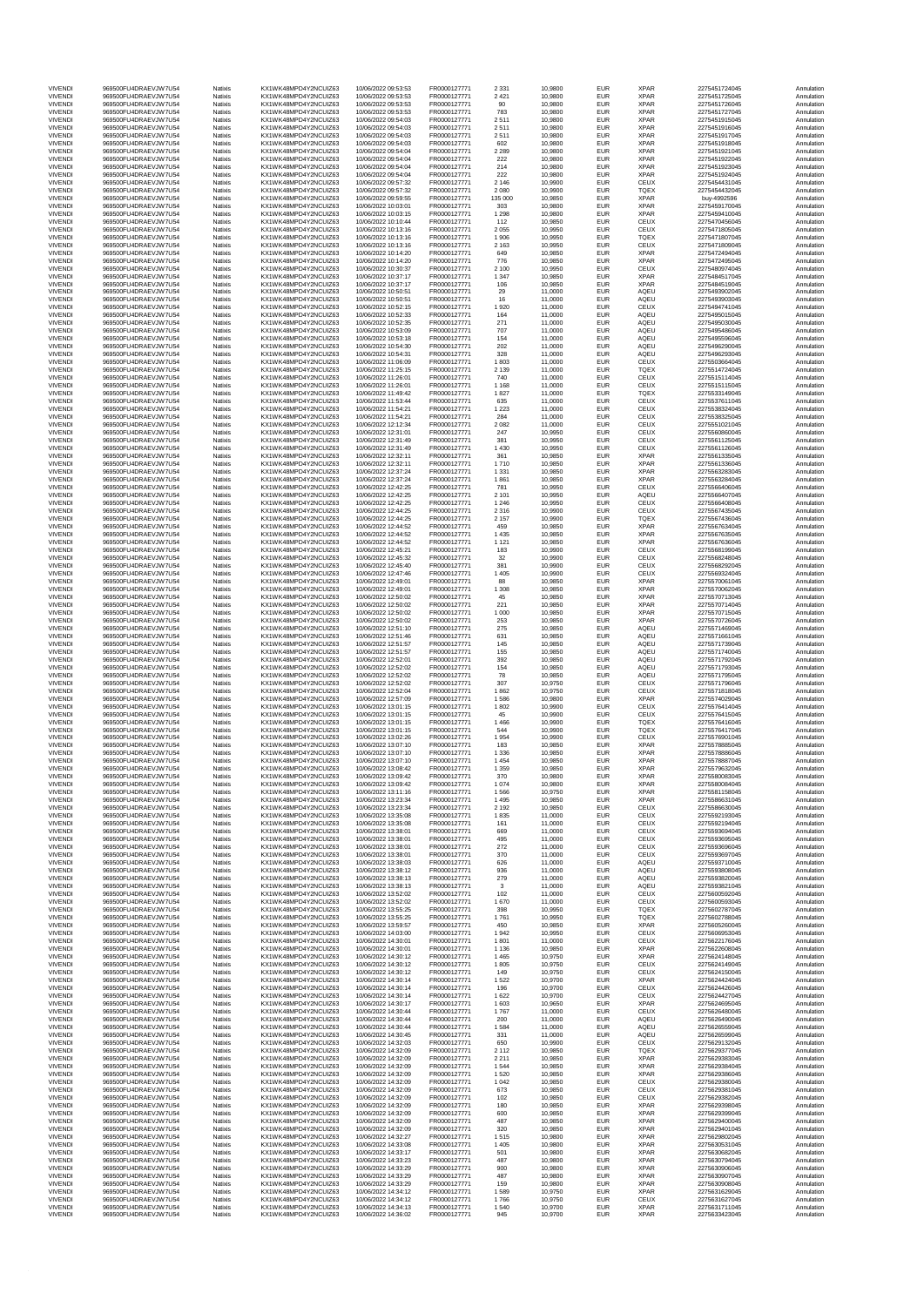| <b>VIVENDI</b><br><b>VIVENDI</b> | 969500FU4DRAEVJW7U54<br>969500FU4DRAFV.IW7U54 | Natixis<br>Natixis | KX1WK48MPD4Y2NCUIZ63<br>KX1WK48MPD4Y2NCUIZ63  | 10/06/2022 09:53:53<br>10/06/2022 09:53:53 | FR0000127771<br>FR0000127771 | 2 3 3 1<br>2421    | 10,9800<br>10,9800 | <b>EUR</b><br>EUR        | <b>XPAR</b><br><b>XPAR</b> | 2275451724045<br>2275451725045 | Annulation<br>Annulation |
|----------------------------------|-----------------------------------------------|--------------------|-----------------------------------------------|--------------------------------------------|------------------------------|--------------------|--------------------|--------------------------|----------------------------|--------------------------------|--------------------------|
| <b>VIVENDI</b>                   | 969500FU4DRAEVJW7U54                          | Natixis            | KX1WK48MPD4Y2NCUIZ63                          | 10/06/2022 09:53:53                        | FR0000127771                 | 90                 | 10,9800            | <b>EUR</b>               | <b>XPAR</b>                | 2275451726045                  | Annulation               |
| <b>VIVENDI</b>                   | 969500FU4DRAEVJW7U54                          | Natixis            | KX1WK48MPD4Y2NCUIZ63                          | 10/06/2022 09:53:53                        | FR0000127771                 | 783                | 10,9800            | EUR                      | <b>XPAR</b>                | 2275451727045                  | Annulation               |
| VIVENDI<br><b>VIVENDI</b>        | 969500FU4DRAEVJW7U54<br>969500FU4DRAEVJW7U54  | Natixis<br>Natixis | KX1WK48MPD4Y2NCUIZ63<br>KX1WK48MPD4Y2NCUIZ63  | 10/06/2022 09:54:03<br>10/06/2022 09:54:03 | FR0000127771<br>FR0000127771 | 2511<br>2511       | 10,9800<br>10,9800 | EUR<br><b>EUR</b>        | <b>XPAR</b><br><b>XPAR</b> | 2275451915045<br>2275451916045 | Annulation<br>Annulation |
| <b>VIVENDI</b>                   | 969500FU4DRAEVJW7U54                          | Natixis            | KX1WK48MPD4Y2NCUIZ63                          | 10/06/2022 09:54:03                        | FR0000127771                 | 2511               | 10,9800            | EUR                      | <b>XPAR</b>                | 2275451917045                  | Annulation               |
| VIVENDI                          | 969500FU4DRAEVJW7U54                          | Natixis            | KX1WK48MPD4Y2NCUIZ63                          | 10/06/2022 09:54:03                        | FR0000127771                 | 602                | 10,9800            | <b>EUR</b>               | <b>XPAR</b>                | 2275451918045                  | Annulation               |
| <b>VIVENDI</b><br><b>VIVENDI</b> | 969500FU4DRAEVJW7U54<br>969500FU4DRAEVJW7U54  | Natixis<br>Natixis | KX1WK48MPD4Y2NCUIZ63<br>KX1WK48MPD4Y2NCUIZ63  | 10/06/2022 09:54:04<br>10/06/2022 09:54:04 | FR0000127771<br>FR0000127771 | 2 2 8 9<br>222     | 10,9800<br>10,9800 | EUR<br>EUR               | <b>XPAR</b><br><b>XPAR</b> | 2275451921045<br>2275451922045 | Annulation<br>Annulation |
| <b>VIVENDI</b>                   | 969500FU4DRAEVJW7U54                          | Natixis            | KX1WK48MPD4Y2NCUIZ63                          | 10/06/2022 09:54:04                        | FR0000127771                 | 214                | 10,9800            | <b>EUR</b>               | <b>XPAR</b>                | 2275451923045                  | Annulation               |
| <b>VIVENDI</b>                   | 969500FU4DRAEVJW7U54                          | Natixis            | KX1WK48MPD4Y2NCUIZ63                          | 10/06/2022 09:54:04                        | FR0000127771                 | 222                | 10,9800            | <b>EUR</b>               | <b>XPAR</b>                | 2275451924045                  | Annulation               |
| VIVENDI<br><b>VIVENDI</b>        | 969500FU4DRAEVJW7U54<br>969500FU4DRAEVJW7U54  | Natixis<br>Natixis | KX1WK48MPD4Y2NCUIZ63<br>KX1WK48MPD4Y2NCUIZ63  | 10/06/2022 09:57:32<br>10/06/2022 09:57:32 | FR0000127771<br>FR0000127771 | 2 1 4 6<br>2 0 8 0 | 10,9900<br>10,9900 | EUR<br><b>EUR</b>        | CEUX<br>TQEX               | 2275454431045<br>2275454432045 | Annulation<br>Annulation |
| <b>VIVENDI</b>                   | 969500FU4DRAEVJW7U54                          | Natixis            | KX1WK48MPD4Y2NCUIZ63                          | 10/06/2022 09:59:55                        | FR0000127771                 | 135 000            | 10,9850            | EUR                      | <b>XPAR</b>                | buy-4992596                    | Annulation               |
| VIVENDI                          | 969500FU4DRAEVJW7U54                          | Natixis            | KX1WK48MPD4Y2NCUIZ63                          | 10/06/2022 10:03:01                        | FR0000127771                 | 303                | 10,9800            | EUR                      | <b>XPAR</b>                | 2275459170045                  | Annulation               |
| VIVEND                           | 969500FU4DRAEVJW7U54                          | Natixis            | KX1WK48MPD4Y2NCUIZ63                          | 10/06/2022 10:03:15                        | FR0000127771                 | 1 2 9 8            | 10,9800            | <b>EUR</b>               | <b>XPAR</b>                | 2275459410045                  | Annulation               |
| <b>VIVENDI</b>                   | 969500FU4DRAEVJW7U54                          | Natixis            | KX1WK48MPD4Y2NCUIZ63                          | 10/06/2022 10:10:44                        | FR0000127771                 | 112                | 10,9850            | EUR                      | CEUX                       | 2275470456045                  | Annulation               |
| VIVENDI<br><b>VIVENDI</b>        | 969500FU4DRAEVJW7U54<br>969500FU4DRAEVJW7U54  | Natixis<br>Natixis | KX1WK48MPD4Y2NCUIZ63<br>KX1WK48MPD4Y2NCUIZ63  | 10/06/2022 10:13:16<br>10/06/2022 10:13:16 | FR0000127771<br>FR0000127771 | 2 0 5 5<br>1906    | 10,9950<br>10,9950 | EUR<br>EUR               | CEUX<br>TQEX               | 2275471805045<br>2275471807045 | Annulation<br>Annulation |
| <b>VIVENDI</b>                   | 969500FU4DRAEVJW7U54                          | Natixis            | KX1WK48MPD4Y2NCUIZ63                          | 10/06/2022 10:13:16                        | FR0000127771                 | 2 1 6 3            | 10,9950            | EUR                      | CEUX                       | 2275471809045                  | Annulation               |
| <b>VIVENDI</b>                   | 969500FU4DRAEVJW7U54                          | Natixis            | KX1WK48MPD4Y2NCUIZ63                          | 10/06/2022 10:14:20                        | FR0000127771                 | 649                | 10,9850            | EUR                      | <b>XPAR</b>                | 2275472494045                  | Annulation               |
| <b>VIVENDI</b>                   | 969500FU4DRAEVJW7U54                          | Natixis            | KX1WK48MPD4Y2NCUIZ63                          | 10/06/2022 10:14:20                        | FR0000127771                 | 776                | 10,9850            | EUR                      | <b>XPAR</b>                | 2275472495045                  | Annulation               |
| <b>VIVENDI</b><br><b>VIVENDI</b> | 969500FU4DRAEVJW7U54<br>969500FU4DRAEVJW7U54  | Natixis<br>Natixis | KX1WK48MPD4Y2NCUIZ63<br>KX1WK48MPD4Y2NCUIZ63  | 10/06/2022 10:30:37<br>10/06/2022 10:37:17 | FR0000127771<br>FR0000127771 | 2 100<br>1 3 4 7   | 10,9950<br>10,9850 | EUR<br>EUR               | CEUX<br><b>XPAR</b>        | 2275480974045<br>2275484517045 | Annulation<br>Annulation |
| <b>VIVENDI</b>                   | 969500FU4DRAEVJW7U54                          | Natixis            | KX1WK48MPD4Y2NCUIZ63                          | 10/06/2022 10:37:17                        | FR0000127771                 | 106                | 10,9850            | EUR                      | <b>XPAR</b>                | 2275484519045                  | Annulation               |
| <b>VIVENDI</b>                   | 969500FU4DRAFV.IW7U54                         | Natixis            | KX1WK48MPD4Y2NCUIZ63                          | 10/06/2022 10:50:51                        | FR0000127771                 | 29                 | 11,0000            | EUR                      | AQEU                       | 2275493902045                  | Annulation               |
| <b>VIVENDI</b>                   | 969500FU4DRAEVJW7U54                          | Natixis            | KX1WK48MPD4Y2NCUIZ63                          | 10/06/2022 10:50:51                        | FR0000127771                 | 16                 | 11,0000            | EUR                      | AQEU                       | 2275493903045                  | Annulation               |
| <b>VIVENDI</b><br>VIVENDI        | 969500FU4DRAEVJW7U54<br>969500FU4DRAEVJW7U54  | Natixis<br>Natixis | KX1WK48MPD4Y2NCUIZ63<br>KX1WK48MPD4Y2NCUIZ63  | 10/06/2022 10:52:15<br>10/06/2022 10:52:33 | FR0000127771<br>FR0000127771 | 1920<br>164        | 11,0000<br>11,0000 | EUR<br>EUR               | CEUX<br>AQEU               | 2275494741045<br>2275495015045 | Annulation<br>Annulation |
| <b>VIVENDI</b>                   | 969500FU4DRAEVJW7U54                          | Natixis            | KX1WK48MPD4Y2NCUIZ63                          | 10/06/2022 10:52:35                        | FR0000127771                 | 271                | 11,0000            | <b>EUR</b>               | AQEU                       | 2275495030045                  | Annulation               |
| <b>VIVENDI</b>                   | 969500FU4DRAEVJW7U54                          | Natixis            | KX1WK48MPD4Y2NCUIZ63                          | 10/06/2022 10:53:09                        | FR0000127771                 | 707                | 11,0000            | EUR                      | AQEU                       | 2275495486045                  | Annulation               |
| <b>VIVENDI</b>                   | 969500FU4DRAEVJW7U54                          | Natixis<br>Natixis | KX1WK48MPD4Y2NCUIZ63                          | 10/06/2022 10:53:18                        | FR0000127771                 | 154                | 11,0000            | <b>EUR</b><br>EUR        | AQEU                       | 2275495596045                  | Annulation<br>Annulation |
| <b>VIVENDI</b><br><b>VIVENDI</b> | 969500FU4DRAEVJW7U54<br>969500FU4DRAEVJW7U54  | Natixis            | KX1WK48MPD4Y2NCUIZ63<br>KX1WK48MPD4Y2NCUIZ63  | 10/06/2022 10:54:30<br>10/06/2022 10:54:31 | FR0000127771<br>FR0000127771 | 202<br>328         | 11,0000<br>11,0000 | EUR                      | AQEU<br>AQEU               | 2275496290045<br>2275496293045 | Annulation               |
| <b>VIVENDI</b>                   | 969500FU4DRAEVJW7U54                          | Natixis            | KX1WK48MPD4Y2NCUIZ63                          | 10/06/2022 11:06:09                        | FR0000127771                 | 1803               | 11,0000            | <b>EUR</b>               | CEUX                       | 2275503664045                  | Annulation               |
| <b>VIVENDI</b>                   | 969500FU4DRAEVJW7U54                          | Natixis            | KX1WK48MPD4Y2NCUIZ63                          | 10/06/2022 11:25:15                        | FR0000127771                 | 2 1 3 9            | 11,0000            | <b>EUR</b>               | TQEX                       | 2275514724045                  | Annulation               |
| VIVENDI<br>VIVEND                | 969500FU4DRAEVJW7U54<br>969500FU4DRAEVJW7U54  | Natixis<br>Natixis | KX1WK48MPD4Y2NCUIZ63<br>KX1WK48MPD4Y2NCUIZ63  | 10/06/2022 11:26:01<br>10/06/2022 11:26:01 | FR0000127771<br>FR0000127771 | 740<br>1 1 6 8     | 11,0000<br>11,0000 | EUR<br><b>EUR</b>        | CEUX<br>CEUX               | 2275515114045<br>2275515115045 | Annulation<br>Annulation |
| <b>VIVENDI</b>                   | 969500FU4DRAEVJW7U54                          | Natixis            | KX1WK48MPD4Y2NCUIZ63                          | 10/06/2022 11:49:42                        | FR0000127771                 | 1827               | 11,0000            | EUR                      | <b>TQEX</b>                | 2275533149045                  | Annulation               |
| VIVENDI                          | 969500FU4DRAEVJW7U54                          | Natixis            | KX1WK48MPD4Y2NCUIZ63                          | 10/06/2022 11:53:44                        | FR0000127771                 | 635                | 11,0000            | EUR                      | CEUX                       | 2275537611045                  | Annulation               |
| VIVEND<br><b>VIVENDI</b>         | 969500FU4DRAEVJW7U54<br>969500FU4DRAFV.IW7U54 | Natixis<br>Natixis | KX1WK48MPD4Y2NCUIZ63<br>KX1WK48MPD4Y2NCUIZ63  | 10/06/2022 11:54:21<br>10/06/2022 11:54:21 | FR0000127771<br>FR0000127771 | 1 2 2 3<br>284     | 11,0000<br>11,0000 | <b>EUR</b><br>EUR        | CEUX<br>CEUX               | 2275538324045<br>2275538325045 | Annulation<br>Annulation |
| VIVENDI                          | 969500FU4DRAEVJW7U54                          | Natixis            | KX1WK48MPD4Y2NCUIZ63                          | 10/06/2022 12:12:34                        | FR0000127771                 | 2 0 8 2            | 11,0000            | EUR                      | CEUX                       | 2275551021045                  | Annulation               |
| <b>VIVENDI</b>                   | 969500FU4DRAEVJW7U54                          | Natixis            | KX1WK48MPD4Y2NCUIZ63                          | 10/06/2022 12:31:01                        | FR0000127771                 | 247                | 10,9950            | EUR                      | CEUX                       | 2275560860045                  | Annulation               |
| <b>VIVENDI</b>                   | 969500FU4DRAEVJW7U54                          | Natixis            | KX1WK48MPD4Y2NCUIZ63                          | 10/06/2022 12:31:49                        | FR0000127771                 | 381                | 10,9950            | EUR                      | CEUX                       | 2275561125045                  | Annulation               |
| <b>VIVENDI</b><br><b>VIVENDI</b> | 969500FU4DRAEVJW7U54<br>969500FU4DRAEVJW7U54  | Natixis<br>Natixis | KX1WK48MPD4Y2NCUIZ63<br>KX1WK48MPD4Y2NCUIZ63  | 10/06/2022 12:31:49<br>10/06/2022 12:32:11 | FR0000127771<br>FR0000127771 | 1 4 3 0<br>361     | 10,9950<br>10,9850 | <b>EUR</b><br>EUR        | CEUX<br><b>XPAR</b>        | 2275561126045<br>2275561335045 | Annulation<br>Annulation |
| VIVENDI                          | 969500FU4DRAEVJW7U54                          | Natixis            | KX1WK48MPD4Y2NCUIZ63                          | 10/06/2022 12:32:11                        | FR0000127771                 | 1710               | 10,9850            | EUR                      | <b>XPAR</b>                | 2275561336045                  | Annulation               |
| <b>VIVENDI</b>                   | 969500FU4DRAEVJW7U54                          | Natixis            | KX1WK48MPD4Y2NCUIZ63                          | 10/06/2022 12:37:24                        | FR0000127771                 | 1 3 3 1            | 10,9850            | <b>EUR</b>               | <b>XPAR</b>                | 2275563283045                  | Annulation               |
| <b>VIVENDI</b>                   | 969500FU4DRAEVJW7U54                          | Natixis            | KX1WK48MPD4Y2NCUIZ63                          | 10/06/2022 12:37:24                        | FR0000127771                 | 1861               | 10,9850            | EUR                      | <b>XPAR</b>                | 2275563284045                  | Annulation               |
| VIVENDI<br><b>VIVENDI</b>        | 969500FU4DRAEVJW7U54<br>969500FU4DRAEVJW7U54  | Natixis<br>Natixis | KX1WK48MPD4Y2NCLIIZ63<br>KX1WK48MPD4Y2NCUIZ63 | 10/06/2022 12:42:25<br>10/06/2022 12:42:25 | FR0000127771<br>FR0000127771 | 781<br>2 1 0 1     | 10,9950<br>10,9950 | EUR<br>EUR               | CEUX<br>AQEU               | 2275566406045<br>2275566407045 | Annulation<br>Annulation |
| <b>VIVENDI</b>                   | 969500FU4DRAFV.IW7U54                         | Natixis            | KX1WK48MPD4Y2NCUIZ63                          | 10/06/2022 12:42:25                        | FR0000127771                 | 1 2 4 6            | 10,9950            | EUR                      | CEUX                       | 2275566408045                  | Annulation               |
| VIVENDI                          | 969500FU4DRAEVJW7U54                          | Natixis            | KX1WK48MPD4Y2NCUIZ63                          | 10/06/2022 12:44:25                        | FR0000127771                 | 2 3 1 6            | 10,9900            | EUR                      | CEUX                       | 2275567435045                  | Annulation               |
| <b>VIVENDI</b><br><b>VIVENDI</b> | 969500FU4DRAEVJW7U54<br>969500FU4DRAEVJW7U54  | Natixis            | KX1WK48MPD4Y2NCUIZ63<br>KX1WK48MPD4Y2NCUIZ63  | 10/06/2022 12:44:25<br>10/06/2022 12:44:52 | FR0000127771                 | 2 1 5 7            | 10,9900<br>10,9850 | <b>EUR</b><br>EUR        | TQEX<br><b>XPAR</b>        | 2275567436045<br>2275567634045 | Annulation<br>Annulation |
| <b>VIVENDI</b>                   | 969500FU4DRAEVJW7U54                          | Natixis<br>Natixis | KX1WK48MPD4Y2NCUIZ63                          | 10/06/2022 12:44:52                        | FR0000127771<br>FR0000127771 | 459<br>1 4 3 5     | 10,9850            | <b>EUR</b>               | <b>XPAR</b>                | 2275567635045                  | Annulation               |
| <b>VIVENDI</b>                   | 969500FU4DRAEVJW7U54                          | Natixis            | KX1WK48MPD4Y2NCUIZ63                          | 10/06/2022 12:44:52                        | FR0000127771                 | 1 1 2 1            | 10,9850            | <b>EUR</b>               | <b>XPAR</b>                | 2275567636045                  | Annulation               |
| VIVENDI                          | 969500FU4DRAEVJW7U54                          | Natixis            | KX1WK48MPD4Y2NCUIZ63                          | 10/06/2022 12:45:21                        | FR0000127771                 | 183                | 10,9900            | EUR                      | CEUX                       | 2275568199045                  | Annulation               |
| <b>VIVENDI</b><br><b>VIVENDI</b> | 969500FU4DRAEVJW7U54<br>969500FU4DRAEVJW7U54  | Natixis<br>Natixis | KX1WK48MPD4Y2NCUIZ63<br>KX1WK48MPD4Y2NCUIZ63  | 10/06/2022 12:45:32<br>10/06/2022 12:45:40 | FR0000127771<br>FR0000127771 | 32<br>381          | 10,9900<br>10,9900 | <b>EUR</b><br><b>EUR</b> | CEUX<br>CEUX               | 2275568248045<br>2275568292045 | Annulation<br>Annulation |
| VIVENDI                          | 969500FU4DRAEVJW7U54                          | Natixis            | KX1WK48MPD4Y2NCUIZ63                          | 10/06/2022 12:47:46                        | FR0000127771                 | 1 4 0 5            | 10,9900            | EUR                      | CEUX                       | 2275569324045                  | Annulation               |
| VIVEND                           | 969500FU4DRAEVJW7U54                          | Natixis            | KX1WK48MPD4Y2NCUIZ63                          | 10/06/2022 12:49:01                        | FR0000127771                 | 88                 | 10,9850            | <b>EUR</b>               | <b>XPAR</b>                | 2275570061045                  | Annulation               |
| <b>VIVENDI</b><br>VIVENDI        | 969500FU4DRAEVJW7U54<br>969500FU4DRAEVJW7U54  | Natixis<br>Natixis | KX1WK48MPD4Y2NCUIZ63<br>KX1WK48MPD4Y2NCUIZ63  | 10/06/2022 12:49:01<br>10/06/2022 12:50:02 | FR0000127771<br>FR0000127771 | 1 308<br>45        | 10,9850<br>10,9850 | EUR<br>EUR               | <b>XPAR</b><br><b>XPAR</b> | 2275570062045<br>2275570713045 | Annulation<br>Annulation |
| <b>VIVENDI</b>                   | 969500FU4DRAEVJW7U54                          | Natixis            | KX1WK48MPD4Y2NCUIZ63                          | 10/06/2022 12:50:02                        | FR0000127771                 | 221                | 10,9850            | EUR                      | <b>XPAR</b>                | 2275570714045                  | Annulation               |
| <b>VIVENDI</b>                   | 969500FU4DRAEVJW7U54                          | Natixis            | KX1WK48MPD4Y2NCUIZ63                          | 10/06/2022 12:50:02                        | FR0000127771                 | 1 000              | 10,9850            | EUR                      | <b>XPAR</b>                | 2275570715045                  | Annulation               |
| <b>VIVENDI</b><br><b>VIVENDI</b> | 969500FU4DRAEVJW7U54<br>969500FU4DRAEVJW7U54  | Natixis<br>Natixis | KX1WK48MPD4Y2NCUIZ63<br>KX1WK48MPD4Y2NCUIZ63  | 10/06/2022 12:50:02<br>10/06/2022 12:51:10 | FR0000127771<br>FR0000127771 | 253<br>275         | 10,9850<br>10,9850 | EUR<br><b>EUR</b>        | <b>XPAR</b><br>AQEU        | 2275570726045<br>2275571469045 | Annulation<br>Annulation |
| <b>VIVENDI</b>                   | 969500FU4DRAEVJW7U54                          | Natixis            | KX1WK48MPD4Y2NCUIZ63                          | 10/06/2022 12:51:46                        | FR0000127771                 | 631                | 10,9850            | EUR                      | AQEU                       | 2275571661045                  | Annulation               |
| <b>VIVENDI</b>                   | 969500FU4DRAEVJW7U54                          | Natixis            | KX1WK48MPD4Y2NCUIZ63                          | 10/06/2022 12:51:57                        | FR0000127771                 | 145                | 10,9850            | <b>EUR</b>               | AQEU                       | 2275571739045                  | Annulation               |
| <b>VIVENDI</b>                   | 969500FU4DRAEVJW7U54                          | Natixis            | KX1WK48MPD4Y2NCUIZ63                          | 10/06/2022 12:51:57                        | FR0000127771                 | 155                | 10,9850            | EUR                      | AQEU                       | 2275571740045                  | Annulation               |
| <b>VIVENDI</b><br><b>VIVENDI</b> | 969500FU4DRAEVJW7U54<br>969500FU4DRAEVJW7U54  | Natixis<br>Natixis | KX1WK48MPD4Y2NCUIZ63<br>KX1WK48MPD4Y2NCUIZ63  | 10/06/2022 12:52:01<br>10/06/2022 12:52:02 | FR0000127771<br>FR0000127771 | 392<br>154         | 10,9850<br>10,9850 | EUR<br><b>EUR</b>        | AQEU<br>AQEU               | 2275571792045<br>2275571793045 | Annulation<br>Annulation |
| <b>VIVENDI</b>                   | 969500FU4DRAEVJW7U54                          | Natixis            | KX1WK48MPD4Y2NCUIZ63                          | 10/06/2022 12:52:02                        | FR0000127771                 | 78                 | 10,9850            | EUR                      | AQEU                       | 2275571795045                  | Annulation               |
| VIVENDI                          | 969500FU4DRAEVJW7U54                          | Natixis            | KX1WK48MPD4Y2NCUIZ63                          | 10/06/2022 12:52:02                        | FR0000127771                 | 307                | 10,9750            | EUR                      | CEUX                       | 2275571796045                  | Annulation               |
| <b>VIVENDI</b><br><b>VIVENDI</b> | 969500FU4DRAFV.IW7U54<br>969500FU4DRAEVJW7U54 | Natixis            | KX1WK48MPD4Y2NCUIZ63<br>KX1WK48MPD4Y2NCUIZ63  | 10/06/2022 12:52:04<br>10/06/2022 12:57:09 | FR0000127771<br>FR0000127771 | 1862<br>1586       | 10,9750<br>10,9800 | EUR<br>EUR               | CEUX<br><b>XPAR</b>        | 2275571818045<br>2275574029045 | Annulation<br>Annulation |
| VIVENDI                          | 969500FU4DRAEVJW7U54                          | Natixis<br>Natixis | KX1WK48MPD4Y2NCUIZ63                          | 10/06/2022 13:01:15                        | FR0000127771                 | 1802               | 10,9900            | <b>EUR</b>               | CEUX                       | 2275576414045                  | Annulation               |
| <b>VIVENDI</b>                   | 969500FU4DRAEVJW7U54                          | Natixis            | KX1WK48MPD4Y2NCUIZ63                          | 10/06/2022 13:01:15                        | FR0000127771                 | 45                 | 10,9900            | <b>EUR</b>               | CEUX                       | 2275576415045                  | Annulation               |
| <b>VIVENDI</b>                   | 969500FU4DRAEVJW7U54                          | Natixis            | KX1WK48MPD4Y2NCUIZ63                          | 10/06/2022 13:01:15                        | FR0000127771                 | 1466               | 10,9900            | EUR                      | <b>TQEX</b>                | 2275576416045                  | Annulation               |
| <b>VIVENDI</b><br><b>VIVENDI</b> | 969500FU4DRAEVJW7U54<br>969500FU4DRAEVJW7U54  | Natixis<br>Natixis | KX1WK48MPD4Y2NCUIZ63<br>KX1WK48MPD4Y2NCUIZ63  | 10/06/2022 13:01:15<br>10/06/2022 13:02:26 | FR0000127771<br>FR0000127771 | 544<br>1954        | 10,9900<br>10,9900 | <b>EUR</b><br>EUR        | TQEX<br>CEUX               | 2275576417045<br>2275576901045 | Annulation<br>Annulation |
| VIVENDI                          | 969500FU4DRAEVJW7U54                          | Natixis            | KX1WK48MPD4Y2NCUIZ63                          | 10/06/2022 13:07:10                        | FR0000127771                 | 183                | 10,9850            | EUR                      | <b>XPAR</b>                | 2275578885045                  | Annulation               |
| VIVEND                           | 969500FU4DRAEVJW7U54                          | Natixis            | KX1WK48MPD4Y2NCUIZ63                          | 10/06/2022 13:07:10                        | FR0000127771                 | 1 3 3 6            | 10,9850            | <b>EUR</b>               | <b>XPAR</b>                | 2275578886045                  | Annulation               |
| <b>VIVENDI</b>                   | 969500FU4DRAEVJW7U54<br>969500FU4DRAEVJW7U54  | Natixis<br>Natixis | KX1WK48MPD4Y2NCUIZ63<br>KX1WK48MPD4Y2NCUIZ63  | 10/06/2022 13:07:10<br>10/06/2022 13:08:42 | FR0000127771<br>FR0000127771 | 1454<br>1 3 5 9    | 10,9850            | EUR<br>EUR               | <b>XPAR</b><br><b>XPAR</b> | 2275578887045<br>2275579632045 | Annulation               |
| VIVENDI<br>VIVENDI               | 969500FU4DRAEVJW7U54                          | Natixis            | KX1WK48MPD4Y2NCUIZ63                          | 10/06/2022 13:09:42                        | FR0000127771                 |                    | 10,9850<br>10,9800 | <b>EUR</b>               | <b>XPAR</b>                | 2275580083045                  | Annulation<br>Annulation |
| <b>VIVENDI</b>                   | 969500FU4DRAFV.IW7U54                         | Natixis            | KX1WK48MPD4Y2NCUIZ63                          | 10/06/2022 13:09:42                        | FR0000127771                 | 1074               | 10,9800            | <b>EUR</b>               | <b>XPAR</b>                | 2275580084045                  | Annulation               |
| <b>VIVENDI</b><br><b>VIVENDI</b> | 969500FU4DRAEVJW7U54                          | Natixis<br>Natixis | KX1WK48MPD4Y2NCUIZ63                          | 10/06/2022 13:11:16                        | FR0000127771<br>FR0000127771 | 1566<br>1 4 9 5    | 10,9750            | <b>EUR</b><br>EUR        | <b>XPAR</b><br><b>XPAR</b> | 2275581158045                  | Annulation<br>Annulation |
| <b>VIVENDI</b>                   | 969500FU4DRAEVJW7U54<br>969500FU4DRAEVJW7U54  | Natixis            | KX1WK48MPD4Y2NCUIZ63<br>KX1WK48MPD4Y2NCUIZ63  | 10/06/2022 13:23:34<br>10/06/2022 13:23:34 | FR0000127771                 | 2 1 9 2            | 10,9850<br>10,9850 | EUR                      | CEUX                       | 2275586631045<br>2275586630045 | Annulation               |
| <b>VIVENDI</b>                   | 969500FU4DRAEVJW7U54                          | Natixis            | KX1WK48MPD4Y2NCUIZ63                          | 10/06/2022 13:35:08                        | FR0000127771                 | 1835               | 11,0000            | EUR                      | CEUX                       | 2275592193045                  | Annulation               |
| <b>VIVENDI</b>                   | 969500FU4DRAEVJW7U54<br>969500FU4DRAFV.IW7U54 | Natixis            | KX1WK48MPD4Y2NCUIZ63<br>KX1WK48MPD4Y2NCLIIZ63 | 10/06/2022 13:35:08                        | FR0000127771<br>FR0000127771 | 161                | 11,0000            | EUR<br><b>FUR</b>        | CEUX                       | 2275592194045                  | Annulation               |
| <b>VIVENDI</b><br>VIVEND         | 969500FU4DRAEVJW7U54                          | Natixis<br>Natixis | KX1WK48MPD4Y2NCUIZ63                          | 10/06/2022 13:38:01<br>10/06/2022 13:38:01 | FR000012777                  | 669<br>495         | 11,0000<br>11,0000 | EUR                      | CEUX<br>CEUX               | 2275593694045<br>2275593695045 | Annulation<br>Annulation |
| <b>VIVENDI</b>                   | 969500FU4DRAEVJW7U54                          | Natixis            | KX1WK48MPD4Y2NCUIZ63                          | 10/06/2022 13:38:01                        | FR0000127771                 | 272                | 11,0000            | EUR                      | CEUX                       | 2275593696045                  | Annulation               |
| <b>VIVENDI</b>                   | 969500FU4DRAEVJW7U54                          | Natixis            | KX1WK48MPD4Y2NCUIZ63                          | 10/06/2022 13:38:01                        | FR0000127771                 | 370                | 11,0000            | <b>FUR</b>               | CEUX                       | 2275593697045                  | Annulation               |
| <b>VIVENDI</b><br><b>VIVENDI</b> | 969500FU4DRAEVJW7U54<br>969500FU4DRAEVJW7U54  | Natixis<br>Natixis | KX1WK48MPD4Y2NCUIZ63<br>KX1WK48MPD4Y2NCUIZ63  | 10/06/2022 13:38:03<br>10/06/2022 13:38:12 | FR0000127771<br>FR0000127771 | 626<br>936         | 11,0000<br>11,0000 | EUR<br>EUR               | AQEU<br>AQEU               | 2275593710045<br>2275593808045 | Annulation<br>Annulation |
| <b>VIVENDI</b>                   | 969500FU4DRAEVJW7U54                          | Natixis            | KX1WK48MPD4Y2NCUIZ63                          | 10/06/2022 13:38:13                        | FR0000127771                 | 279                | 11,0000            | EUR                      | AQEU                       | 2275593820045                  | Annulation               |
| <b>VIVEND</b>                    | 969500FU4DRAEVJW7U54                          | Natixis            | KX1WK48MPD4Y2NCUIZ63                          | 10/06/2022 13:38:13                        | FR0000127771                 | 3                  | 11,0000            | EUR                      | AQEU                       | 2275593821045                  | Annulation               |
| VIVENDI<br><b>VIVENDI</b>        | 969500FU4DRAEVJW7U54<br>969500FU4DRAEVJW7U54  | Natixis<br>Natixis | KX1WK48MPD4Y2NCUIZ63<br>KX1WK48MPD4Y2NCUIZ63  | 10/06/2022 13:52:02<br>10/06/2022 13:52:02 | FR0000127771<br>FR0000127771 | 102<br>1670        | 11,0000<br>11,0000 | EUR<br><b>EUR</b>        | CEUX<br>CEUX               | 2275600592045<br>2275600593045 | Annulation<br>Annulation |
| <b>VIVENDI</b>                   | 969500FU4DRAEVJW7U54                          | Natixis            | KX1WK48MPD4Y2NCUIZ63                          | 10/06/2022 13:55:25                        | FR0000127771                 | 398                | 10,9950            | EUR                      | <b>TQEX</b>                | 2275602787045                  | Annulation               |
| VIVENDI                          | 969500FU4DRAEVJW7U54                          | Natixis            | KX1WK48MPD4Y2NCLIIZ63                         | 10/06/2022 13:55:25                        | FR0000127771                 | 1761               | 10,9950            | EUR                      | <b>TQEX</b>                | 2275602788045                  | Annulation               |
| <b>VIVENDI</b><br><b>VIVENDI</b> | 969500FU4DRAEVJW7U54<br>969500FU4DRAEVJW7U54  | Natixis            | KX1WK48MPD4Y2NCUIZ63<br>KX1WK48MPD4Y2NCUIZ63  | 10/06/2022 13:59:57                        | FR0000127771<br>FR0000127771 | 450<br>1942        | 10,9850            | <b>EUR</b><br>EUR        | <b>XPAR</b><br>CEUX        | 2275605260045                  | Annulation<br>Annulation |
| <b>VIVENDI</b>                   | 969500FU4DRAEVJW7U54                          | Natixis<br>Natixis | KX1WK48MPD4Y2NCLIIZ63                         | 10/06/2022 14:03:00<br>10/06/2022 14:30:01 | FR0000127771                 | 1801               | 10,9950<br>11,0000 | <b>FUR</b>               | CEUX                       | 2275606953045<br>2275622176045 | Annulation               |
| VIVEND                           | 969500FU4DRAEVJW7U54                          | Natixis            | KX1WK48MPD4Y2NCUIZ63                          | 10/06/2022 14:30:01                        | FR0000127771                 | 1 1 3 6            | 10,9850            | <b>EUR</b>               | <b>XPAR</b>                | 2275622608045                  | Annulation               |
| <b>VIVENDI</b>                   | 969500FU4DRAEVJW7U54                          | Natixis            | KX1WK48MPD4Y2NCUIZ63                          | 10/06/2022 14:30:12                        | FR0000127771                 | 1465               | 10,9750            | EUR                      | <b>XPAR</b>                | 2275624148045                  | Annulation               |
| VIVENDI<br><b>VIVENDI</b>        | 969500FU4DRAEVJW7U54<br>969500FU4DRAEVJW7U54  | Natixis<br>Natixis | KX1WK48MPD4Y2NCUIZ63<br>KX1WK48MPD4Y2NCUIZ63  | 10/06/2022 14:30:12<br>10/06/2022 14:30:12 | FR0000127771<br>FR0000127771 | 1805<br>149        | 10,9750<br>10,9750 | EUR<br>EUR               | CEUX<br>CEUX               | 2275624149045<br>2275624150045 | Annulation<br>Annulation |
| <b>VIVENDI</b>                   | 969500FU4DRAEVJW7U54                          | Natixis            | KX1WK48MPD4Y2NCUIZ63                          | 10/06/2022 14:30:14                        | FR0000127771                 | 1522               | 10,9700            | EUR                      | <b>XPAR</b>                | 2275624424045                  | Annulation               |
| VIVENDI                          | 969500FU4DRAEVJW7U54                          | Natixis            | KX1WK48MPD4Y2NCUIZ63                          | 10/06/2022 14:30:14                        | FR0000127771                 | 196                | 10,9700            | EUR                      | CEUX                       | 2275624426045                  | Annulation               |
| <b>VIVENDI</b><br><b>VIVENDI</b> | 969500FU4DRAEVJW7U54<br>969500FU4DRAEVJW7U54  | Natixis<br>Natixis | KX1WK48MPD4Y2NCUIZ63<br>KX1WK48MPD4Y2NCUIZ63  | 10/06/2022 14:30:14<br>10/06/2022 14:30:17 | FR0000127771<br>FR0000127771 | 1622<br>1603       | 10,9700<br>10,9650 | EUR<br>EUR               | CEUX<br><b>XPAR</b>        | 2275624427045<br>2275624695045 | Annulation<br>Annulation |
| <b>VIVENDI</b>                   | 969500FU4DRAEVJW7U54                          | Natixis            | KX1WK48MPD4Y2NCUIZ63                          | 10/06/2022 14:30:44                        | FR0000127771                 | 1767               | 11,0000            | <b>EUR</b>               | CEUX                       | 2275626480045                  | Annulation               |
| <b>VIVENDI</b>                   | 969500FU4DRAEVJW7U54                          | Natixis            | KX1WK48MPD4Y2NCUIZ63                          | 10/06/2022 14:30:44                        | FR0000127771                 | 200                | 11,0000            | EUR                      | AQEU                       | 2275626490045                  | Annulation               |
| <b>VIVENDI</b><br>VIVEND         | 969500FU4DRAEVJW7U54<br>969500FU4DRAEVJW7U54  | Natixis<br>Natixis | KX1WK48MPD4Y2NCUIZ63<br>KX1WK48MPD4Y2NCUIZ63  | 10/06/2022 14:30:44<br>10/06/2022 14:30:45 | FR0000127771<br>FR0000127771 | 1584<br>331        | 11,0000<br>11,0000 | <b>FUR</b><br><b>EUR</b> | AQEU<br>AQEU               | 2275626559045<br>2275626599045 | Annulation<br>Annulation |
| <b>VIVENDI</b>                   | 969500FU4DRAEVJW7U54                          | Natixis            | KX1WK48MPD4Y2NCUIZ63                          | 10/06/2022 14:32:03                        | FR0000127771                 | 650                | 10,9900            | EUR                      | CEUX                       | 2275629132045                  | Annulation               |
| <b>VIVENDI</b>                   | 969500FU4DRAEVJW7U54                          | Natixis            | KX1WK48MPD4Y2NCUIZ63                          | 10/06/2022 14:32:09                        | FR0000127771                 | 2 1 1 2            | 10,9850            | <b>FUR</b>               | <b>TQEX</b>                | 2275629377045                  | Annulation               |
| <b>VIVENDI</b><br><b>VIVENDI</b> | 969500FU4DRAEVJW7U54<br>969500FU4DRAEVJW7U54  | Natixis<br>Natixis | KX1WK48MPD4Y2NCUIZ63<br>KX1WK48MPD4Y2NCUIZ63  | 10/06/2022 14:32:09<br>10/06/2022 14:32:09 | FR0000127771<br>FR0000127771 | 2 2 1 1<br>1544    | 10,9850<br>10,9850 | EUR<br>EUR               | <b>XPAR</b><br><b>XPAR</b> | 2275629383045<br>2275629384045 | Annulation<br>Annulation |
| <b>VIVENDI</b>                   | 969500FU4DRAEVJW7U54                          | Natixis            | KX1WK48MPD4Y2NCUIZ63                          | 10/06/2022 14:32:09                        | FR0000127771                 | 1520               | 10,9850            | EUR                      | <b>XPAR</b>                | 2275629386045                  | Annulation               |
| <b>VIVENDI</b>                   | 969500FU4DRAEVJW7U54                          | Natixis            | KX1WK48MPD4Y2NCUIZ63                          | 10/06/2022 14:32:09                        | FR0000127771                 | 1 0 4 2            | 10,9850            | EUR                      | CEUX                       | 2275629380045                  | Annulation               |
| <b>VIVENDI</b>                   | 969500FU4DRAEVJW7U54                          | Natixis            | KX1WK48MPD4Y2NCUIZ63                          | 10/06/2022 14:32:09                        | FR0000127771                 | 673                | 10,9850            | EUR                      | CEUX                       | 2275629381045                  | Annulation               |
| VIVENDI<br><b>VIVENDI</b>        | 969500FU4DRAEVJW7U54<br>969500FU4DRAEVJW7U54  | Natixis<br>Natixis | KX1WK48MPD4Y2NCUIZ63<br>KX1WK48MPD4Y2NCUIZ63  | 10/06/2022 14:32:09<br>10/06/2022 14:32:09 | FR0000127771<br>FR0000127771 | 102<br>180         | 10,9850<br>10,9850 | <b>EUR</b><br>EUR        | CEUX<br><b>XPAR</b>        | 2275629382045<br>2275629398045 | Annulation<br>Annulation |
| <b>VIVENDI</b>                   | 969500FU4DRAEVJW7U54                          | Natixis            | KX1WK48MPD4Y2NCUIZ63                          | 10/06/2022 14:32:09                        | FR0000127771                 | 600                | 10,9850            | <b>EUR</b>               | <b>XPAR</b>                | 2275629399045                  | Annulation               |
| VIVEND<br><b>VIVENDI</b>         | 969500FU4DRAEVJW7U54                          | Natixis            | KX1WK48MPD4Y2NCUIZ63                          | 10/06/2022 14:32:09                        | FR0000127771                 | 487<br>320         | 10,9850            | <b>EUR</b><br>EUR        | <b>XPAR</b><br><b>XPAR</b> | 2275629400045                  | Annulation               |
| <b>VIVENDI</b>                   | 969500FU4DRAEVJW7U54<br>969500FU4DRAEVJW7U54  | Natixis<br>Natixis | KX1WK48MPD4Y2NCUIZ63<br>KX1WK48MPD4Y2NCUIZ63  | 10/06/2022 14:32:09<br>10/06/2022 14:32:27 | FR0000127771<br>FR0000127771 | 1515               | 10,9850<br>10,9800 | <b>FUR</b>               | <b>XPAR</b>                | 2275629401045<br>2275629802045 | Annulation<br>Annulation |
| VIVEND                           | 969500FU4DRAEVJW7U54                          | Natixis            | KX1WK48MPD4Y2NCUIZ63                          | 10/06/2022 14:33:08                        | FR0000127771                 | 1 4 0 5            | 10,9800            | <b>EUR</b>               | <b>XPAR</b>                | 2275630531045                  | Annulation               |
| <b>VIVENDI</b>                   | 969500FU4DRAEVJW7U54                          | Natixis            | KX1WK48MPD4Y2NCUIZ63                          | 10/06/2022 14:33:17                        | FR0000127771                 | 501                | 10,9800            | EUR                      | <b>XPAR</b>                | 2275630682045                  | Annulation               |
| VIVENDI<br><b>VIVENDI</b>        | 969500FU4DRAEVJW7U54<br>969500FU4DRAEVJW7U54  | Natixis<br>Natixis | KX1WK48MPD4Y2NCUIZ63<br>KX1WK48MPD4Y2NCUIZ63  | 10/06/2022 14:33:23<br>10/06/2022 14:33:29 | FR0000127771<br>FR0000127771 | 487<br>900         | 10,9800<br>10,9800 | <b>EUR</b><br>EUR        | <b>XPAR</b><br><b>XPAR</b> | 2275630794045<br>2275630906045 | Annulation<br>Annulation |
| <b>VIVENDI</b>                   | 969500FU4DRAEVJW7U54                          | Natixis            | KX1WK48MPD4Y2NCUIZ63                          | 10/06/2022 14:33:29                        | FR0000127771                 | 487                | 10,9800            | EUR                      | <b>XPAR</b>                | 2275630907045                  | Annulation               |
| <b>VIVENDI</b>                   | 969500FU4DRAEVJW7U54                          | Natixis<br>Natixis | KX1WK48MPD4Y2NCUIZ63                          | 10/06/2022 14:33:29                        | FR0000127771                 | 159                | 10,9800            | EUR<br>EUR               | <b>XPAR</b><br><b>XPAR</b> | 2275630908045                  | Annulation               |
| <b>VIVENDI</b><br><b>VIVENDI</b> | 969500FU4DRAEVJW7U54<br>969500FU4DRAEVJW7U54  | Natixis            | KX1WK48MPD4Y2NCUIZ63<br>KX1WK48MPD4Y2NCUIZ63  | 10/06/2022 14:34:12<br>10/06/2022 14:34:12 | FR0000127771<br>FR0000127771 | 1589<br>1766       | 10,9750<br>10,9750 | EUR                      | CEUX                       | 2275631629045<br>2275631627045 | Annulation<br>Annulation |
| <b>VIVENDI</b>                   | 969500FU4DRAEVJW7U54                          | Natixis            | KX1WK48MPD4Y2NCUIZ63                          | 10/06/2022 14:34:13                        | FR0000127771                 | 1540               | 10,9700            | EUR                      | <b>XPAR</b>                | 2275631711045                  | Annulation               |
| <b>VIVENDI</b>                   | 969500FU4DRAEVJW7U54                          | Natixis            | KX1WK48MPD4Y2NCUIZ63                          | 10/06/2022 14:36:02                        | FR0000127771                 | 945                | 10,9700            | EUR                      | <b>XPAR</b>                | 2275633423045                  | Annulation               |
|                                  |                                               |                    |                                               |                                            |                              |                    |                    |                          |                            |                                |                          |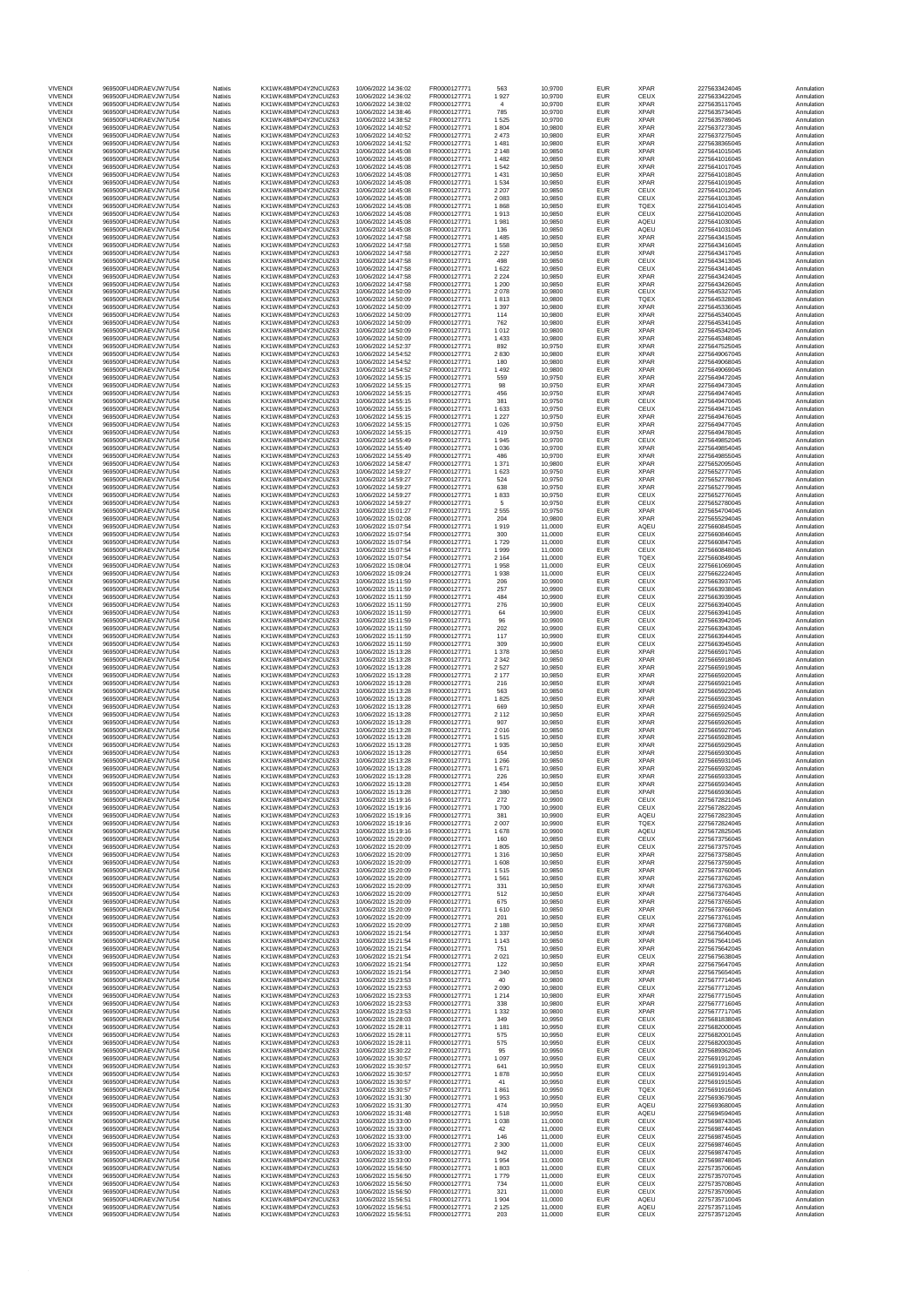| <b>VIVENDI</b><br><b>VIVENDI</b> | 969500FU4DRAEVJW7U54<br>969500FU4DRAEVJW7U54  | Natixis<br>Natixis | KX1WK48MPD4Y2NCUIZ63<br>KX1WK48MPD4Y2NCUIZ63  | 10/06/2022 14:36:02<br>10/06/2022 14:36:02 | FR0000127771<br>FR0000127771 | 563<br>1927        | 10,9700<br>10,9700 | <b>EUR</b><br><b>EUR</b> | <b>XPAR</b><br>CEUX        | 2275633424045<br>2275633422045 | Annulation<br>Annulation |
|----------------------------------|-----------------------------------------------|--------------------|-----------------------------------------------|--------------------------------------------|------------------------------|--------------------|--------------------|--------------------------|----------------------------|--------------------------------|--------------------------|
| VIVENDI                          | 969500FU4DRAEVJW7U54                          | Natixis            | KX1WK48MPD4Y2NCUIZ63                          | 10/06/2022 14:38:02                        | FR0000127771                 | $\overline{4}$     | 10,9700            | EUR                      | <b>XPAR</b>                | 2275635117045                  | Annulation               |
| <b>VIVENDI</b><br><b>VIVENDI</b> | 969500FU4DRAEVJW7U54<br>969500FU4DRAEVJW7U54  | Natixis<br>Natixis | KX1WK48MPD4Y2NCUIZ63<br>KX1WK48MPD4Y2NCUIZ63  | 10/06/2022 14:38:46<br>10/06/2022 14:38:52 | FR0000127771<br>FR0000127771 | 785<br>1525        | 10,9700<br>10,9700 | EUR<br>EUR               | <b>XPAR</b><br><b>XPAR</b> | 2275635734045<br>2275635789045 | Annulation<br>Annulation |
| VIVENDI                          | 969500FU4DRAEVJW7U54                          | Natixis            | KX1WK48MPD4Y2NCUIZ63                          | 10/06/2022 14:40:52                        | FR0000127771                 | 1804               | 10,9800            | EUR                      | <b>XPAR</b>                | 2275637273045                  | Annulation               |
| <b>VIVENDI</b>                   | 969500FU4DRAEVJW7U54                          | Natixis            | KX1WK48MPD4Y2NCUIZ63                          | 10/06/2022 14:40:52                        | FR0000127771                 | 2473               | 10,9800            | EUR                      | <b>XPAR</b>                | 2275637275045                  | Annulation               |
| <b>VIVENDI</b><br><b>VIVENDI</b> | 969500FU4DRAEVJW7U54<br>969500FU4DRAEVJW7U54  | Natixis<br>Natixis | KX1WK48MPD4Y2NCUIZ63<br>KX1WK48MPD4Y2NCUIZ63  | 10/06/2022 14:41:52<br>10/06/2022 14:45:08 | FR0000127771<br>FR0000127771 | 1481<br>2 1 4 8    | 10,9800<br>10,9850 | EUR<br><b>EUR</b>        | <b>XPAR</b><br><b>XPAR</b> | 2275638365045<br>2275641015045 | Annulation<br>Annulation |
| <b>VIVENDI</b>                   | 969500FU4DRAEVJW7U54                          | Natixis            | KX1WK48MPD4Y2NCUIZ63                          | 10/06/2022 14:45:08                        | FR0000127771                 | 1 4 8 2            | 10,9850            | EUR                      | <b>XPAR</b>                | 2275641016045                  | Annulation               |
| VIVENDI                          | 969500FU4DRAEVJW7U54                          | Natixis            | KX1WK48MPD4Y2NCLIIZ63                         | 10/06/2022 14:45:08                        | FR0000127771                 | 1542               | 10,9850            | EUR                      | <b>XPAR</b>                | 2275641017045                  | Annulation               |
| <b>VIVENDI</b><br><b>VIVENDI</b> | 969500FU4DRAEVJW7U54<br>969500FU4DRAFV.IW7U54 | Natixis<br>Natixis | KX1WK48MPD4Y2NCUIZ63<br>KX1WK48MPD4Y2NCUIZ63  | 10/06/2022 14:45:08<br>10/06/2022 14:45:08 | FR0000127771<br>FR0000127771 | 1 4 3 1<br>1 5 3 4 | 10,9850<br>10,9850 | EUR<br>EUR               | <b>XPAR</b><br><b>XPAR</b> | 2275641018045<br>2275641019045 | Annulation<br>Annulation |
| <b>VIVENDI</b>                   | 969500FU4DRAEVJW7U54                          | Natixis            | KX1WK48MPD4Y2NCUIZ63                          | 10/06/2022 14:45:08                        | FR0000127771                 | 2 2 0 7            | 10,9850            | EUR                      | CEUX                       | 2275641012045                  | Annulation               |
| <b>VIVENDI</b>                   | 969500FU4DRAEVJW7U54                          | Natixis            | KX1WK48MPD4Y2NCUIZ63                          | 10/06/2022 14:45:08                        | FR0000127771                 | 2083               | 10,9850            | EUR                      | CEUX                       | 2275641013045                  | Annulation               |
| <b>VIVENDI</b><br>VIVENDI        | 969500FU4DRAEVJW7U54<br>969500FU4DRAEVJW7U54  | Natixis<br>Natixis | KX1WK48MPD4Y2NCUIZ63<br>KX1WK48MPD4Y2NCUIZ63  | 10/06/2022 14:45:08<br>10/06/2022 14:45:08 | FR0000127771<br>FR0000127771 | 1868<br>1913       | 10,9850<br>10,9850 | EUR<br>EUR               | <b>TQEX</b><br>CEUX        | 2275641014045<br>2275641020045 | Annulation<br>Annulation |
| <b>VIVENDI</b>                   | 969500FU4DRAEVJW7U54                          | Natixis            | KX1WK48MPD4Y2NCUIZ63                          | 10/06/2022 14:45:08                        | FR0000127771                 | 1981               | 10,9850            | <b>EUR</b>               | AQEU                       | 2275641030045                  | Annulation               |
| <b>VIVENDI</b>                   | 969500FU4DRAEVJW7U54                          | Natixis            | KX1WK48MPD4Y2NCUIZ63                          | 10/06/2022 14:45:08                        | FR0000127771                 | 136                | 10,9850            | EUR                      | AQEU                       | 2275641031045                  | Annulation               |
| <b>VIVENDI</b>                   | 969500FU4DRAEVJW7U54                          | Natixis            | KX1WK48MPD4Y2NCUIZ63                          | 10/06/2022 14:47:58                        | FR0000127771                 | 1 4 8 5            | 10,9850            | <b>EUR</b>               | <b>XPAR</b>                | 2275643415045                  | Annulation               |
| <b>VIVENDI</b><br>VIVENDI        | 969500FU4DRAEVJW7U54<br>969500FU4DRAEVJW7U54  | Natixis<br>Natixis | KX1WK48MPD4Y2NCUIZ63<br>KX1WK48MPD4Y2NCUIZ63  | 10/06/2022 14:47:58<br>10/06/2022 14:47:58 | FR0000127771<br>FR0000127771 | 1558<br>2 2 2 7    | 10,9850<br>10,9850 | <b>EUR</b><br>EUR        | <b>XPAR</b><br><b>XPAR</b> | 2275643416045<br>2275643417045 | Annulation<br>Annulation |
| VIVEND                           | 969500FU4DRAEVJW7U54                          | Natixis            | KX1WK48MPD4Y2NCUIZ63                          | 10/06/2022 14:47:58                        | FR0000127771                 | 498                | 10,9850            | <b>EUR</b>               | CEUX                       | 2275643413045                  | Annulation               |
| <b>VIVENDI</b>                   | 969500FU4DRAEVJW7U54                          | Natixis            | KX1WK48MPD4Y2NCUIZ63                          | 10/06/2022 14:47:58                        | FR0000127771                 | 1622               | 10,9850            | EUR                      | CEUX                       | 2275643414045                  | Annulation               |
| VIVENDI<br>VIVEND                | 969500FU4DRAEVJW7U54<br>969500FU4DRAEVJW7U54  | Natixis<br>Natixis | KX1WK48MPD4Y2NCUIZ63<br>KX1WK48MPD4Y2NCUIZ63  | 10/06/2022 14:47:58<br>10/06/2022 14:47:58 | FR0000127771<br>FR0000127771 | 2 2 2 4<br>1 200   | 10,9850<br>10,9850 | EUR<br><b>EUR</b>        | <b>XPAR</b><br><b>XPAR</b> | 2275643424045<br>2275643426045 | Annulation<br>Annulation |
| <b>VIVENDI</b>                   | 969500FU4DRAEVJW7U54                          | Natixis            | KX1WK48MPD4Y2NCUIZ63                          | 10/06/2022 14:50:09                        | FR0000127771                 | 2078               | 10,9800            | EUR                      | CEUX                       | 2275645327045                  | Annulation               |
| VIVENDI                          | 969500FU4DRAEVJW7U54                          | Natixis            | KX1WK48MPD4Y2NCUIZ63                          | 10/06/2022 14:50:09                        | FR0000127771                 | 1813               | 10,9800            | EUR                      | <b>TQEX</b>                | 2275645328045                  | Annulation               |
| <b>VIVENDI</b><br><b>VIVENDI</b> | 969500FU4DRAEVJW7U54<br>969500FU4DRAEVJW7U54  | Natixis<br>Natixis | KX1WK48MPD4Y2NCUIZ63<br>KX1WK48MPD4Y2NCUIZ63  | 10/06/2022 14:50:09<br>10/06/2022 14:50:09 | FR0000127771<br>FR0000127771 | 1 3 9 7<br>114     | 10,9800<br>10,9800 | EUR<br>EUR               | <b>XPAR</b><br><b>XPAR</b> | 2275645336045<br>2275645340045 | Annulation<br>Annulation |
| <b>VIVENDI</b>                   | 969500FU4DRAEVJW7U54                          | Natixis            | KX1WK48MPD4Y2NCUIZ63                          | 10/06/2022 14:50:09                        | FR0000127771                 | 762                | 10,9800            | <b>EUR</b>               | <b>XPAR</b>                | 2275645341045                  | Annulation               |
| <b>VIVENDI</b>                   | 969500FU4DRAEVJW7U54                          | Natixis            | KX1WK48MPD4Y2NCUIZ63                          | 10/06/2022 14:50:09                        | FR0000127771                 | 1012               | 10,9800            | <b>EUR</b>               | <b>XPAR</b>                | 2275645342045                  | Annulation               |
| <b>VIVENDI</b><br><b>VIVENDI</b> | 969500FU4DRAEVJW7U54<br>969500FU4DRAEVJW7U54  | Natixis<br>Natixis | KX1WK48MPD4Y2NCUIZ63<br>KX1WK48MPD4Y2NCUIZ63  | 10/06/2022 14:50:09<br>10/06/2022 14:52:37 | FR0000127771<br>FR0000127771 | 1433<br>892        | 10,9800<br>10,9750 | EUR<br><b>EUR</b>        | <b>XPAR</b><br><b>XPAR</b> | 2275645348045<br>2275647525045 | Annulation<br>Annulation |
| <b>VIVENDI</b>                   | 969500FU4DRAEVJW7U54                          | Natixis            | KX1WK48MPD4Y2NCUIZ63                          | 10/06/2022 14:54:52                        | FR0000127771                 | 2830               | 10,9800            | EUR                      | <b>XPAR</b>                | 2275649067045                  | Annulation               |
| VIVENDI                          | 969500FU4DRAEVJW7U54                          | Natixis            | KX1WK48MPD4Y2NCUIZ63                          | 10/06/2022 14:54:52                        | FR0000127771                 | 180                | 10,9800            | EUR                      | <b>XPAR</b>                | 2275649068045                  | Annulation               |
| <b>VIVENDI</b><br><b>VIVENDI</b> | 969500FU4DRAEVJW7U54<br>969500FU4DRAEVJW7U54  | Natixis<br>Natixis | KX1WK48MPD4Y2NCUIZ63<br>KX1WK48MPD4Y2NCUIZ63  | 10/06/2022 14:54:52<br>10/06/2022 14:55:15 | FR0000127771<br>FR0000127771 | 1 4 9 2<br>559     | 10,9800<br>10,9750 | <b>EUR</b><br>EUR        | <b>XPAR</b><br><b>XPAR</b> | 2275649069045<br>2275649472045 | Annulation<br>Annulation |
| VIVENDI                          | 969500FU4DRAEVJW7U54                          | Natixis            | KX1WK48MPD4Y2NCUIZ63                          | 10/06/2022 14:55:15                        | FR0000127771                 | 98                 | 10,9750            | EUR                      | <b>XPAR</b>                | 2275649473045                  | Annulation               |
| <b>VIVENDI</b>                   | 969500FU4DRAEVJW7U54                          | Natixis            | KX1WK48MPD4Y2NCUIZ63                          | 10/06/2022 14:55:15                        | FR0000127771                 | 456                | 10,9750            | EUR                      | <b>XPAR</b>                | 2275649474045                  | Annulation               |
| <b>VIVENDI</b><br>VIVENDI        | 969500FU4DRAEVJW7U54<br>969500FU4DRAEVJW7U54  | Natixis<br>Natixis | KX1WK48MPD4Y2NCUIZ63<br>KX1WK48MPD4Y2NCUIZ63  | 10/06/2022 14:55:15<br>10/06/2022 14:55:15 | FR0000127771<br>FR0000127771 | 381<br>1 633       | 10,9750<br>10,9750 | EUR<br>EUR               | CEUX<br>CEUX               | 2275649470045<br>2275649471045 | Annulation<br>Annulation |
| <b>VIVENDI</b>                   | 969500FU4DRAEVJW7U54                          | Natixis            | KX1WK48MPD4Y2NCUIZ63                          | 10/06/2022 14:55:15                        | FR0000127771                 | 1 2 2 7            | 10,9750            | EUR                      | <b>XPAR</b>                | 2275649476045                  | Annulation               |
| <b>VIVENDI</b>                   | 969500FU4DRAFV.IW7U54                         | Natixis            | KX1WK48MPD4Y2NCUIZ63                          | 10/06/2022 14:55:15                        | FR0000127771                 | 1026               | 10,9750            | EUR                      | <b>XPAR</b>                | 2275649477045                  | Annulation               |
| <b>VIVENDI</b><br><b>VIVENDI</b> | 969500FU4DRAEVJW7U54<br>969500FU4DRAEVJW7U54  | Natixis<br>Natixis | KX1WK48MPD4Y2NCUIZ63<br>KX1WK48MPD4Y2NCUIZ63  | 10/06/2022 14:55:15<br>10/06/2022 14:55:49 | FR0000127771<br>FR0000127771 | 419<br>1945        | 10,9750<br>10,9700 | <b>EUR</b><br>EUR        | <b>XPAR</b><br>CEUX        | 2275649478045<br>2275649852045 | Annulation<br>Annulation |
| VIVENDI                          | 969500FU4DRAEVJW7U54                          | Natixis            | KX1WK48MPD4Y2NCUIZ63                          | 10/06/2022 14:55:49                        | FR0000127771                 | 1 0 3 6            | 10,9700            | EUR                      | <b>XPAR</b>                | 2275649854045                  | Annulation               |
| VIVEND                           | 969500FU4DRAEVJW7U54                          | Natixis            | KX1WK48MPD4Y2NCUIZ63                          | 10/06/2022 14:55:49                        | FR0000127771                 | 486                | 10,9700            | <b>EUR</b>               | <b>XPAR</b>                | 2275649855045                  | Annulation               |
| <b>VIVENDI</b>                   | 969500FU4DRAEVJW7U54                          | Natixis<br>Natixis | KX1WK48MPD4Y2NCUIZ63<br>KX1WK48MPD4Y2NCUIZ63  | 10/06/2022 14:58:47                        | FR0000127771                 | 1 371              | 10,9800            | EUR<br>EUR               | <b>XPAR</b><br><b>XPAR</b> | 2275652095045                  | Annulation               |
| VIVENDI<br>VIVEND                | 969500FU4DRAEVJW7U54<br>969500FU4DRAEVJW7U54  | Natixis            | KX1WK48MPD4Y2NCUIZ63                          | 10/06/2022 14:59:27<br>10/06/2022 14:59:27 | FR0000127771<br>FR0000127771 | 1 623<br>524       | 10,9750<br>10,9750 | <b>EUR</b>               | <b>XPAR</b>                | 2275652777045<br>2275652778045 | Annulation<br>Annulation |
| <b>VIVENDI</b>                   | 969500FU4DRAEVJW7U54                          | Natixis            | KX1WK48MPD4Y2NCUIZ63                          | 10/06/2022 14:59:27                        | FR0000127771                 | 638                | 10.9750            | EUR                      | <b>XPAR</b>                | 2275652779045                  | Annulation               |
| VIVENDI                          | 969500FU4DRAEVJW7U54                          | Natixis            | KX1WK48MPD4Y2NCUIZ63                          | 10/06/2022 14:59:27                        | FR0000127771                 | 1833               | 10,9750            | EUR                      | CEUX                       | 2275652776045                  | Annulation               |
| <b>VIVENDI</b><br><b>VIVENDI</b> | 969500FU4DRAEVJW7U54<br>969500FU4DRAEVJW7U54  | Natixis<br>Natixis | KX1WK48MPD4Y2NCUIZ63<br>KX1WK48MPD4Y2NCUIZ63  | 10/06/2022 14:59:27<br>10/06/2022 15:01:27 | FR0000127771<br>FR0000127771 | 5<br>2555          | 10,9750<br>10,9750 | EUR<br>EUR               | CEUX<br><b>XPAR</b>        | 2275652780045<br>2275654704045 | Annulation<br>Annulation |
| <b>VIVENDI</b>                   | 969500FU4DRAEVJW7U54                          | Natixis            | KX1WK48MPD4Y2NCUIZ63                          | 10/06/2022 15:02:08                        | FR0000127771                 | 204                | 10,9800            | EUR                      | <b>XPAR</b>                | 2275655294045                  | Annulation               |
| <b>VIVENDI</b>                   | 969500FU4DRAEVJW7U54                          | Natixis            | KX1WK48MPD4Y2NCUIZ63                          | 10/06/2022 15:07:54                        | FR0000127771                 | 1919               | 11,0000            | EUR                      | AQEU                       | 2275660845045                  | Annulation               |
| <b>VIVENDI</b><br><b>VIVENDI</b> | 969500FU4DRAEVJW7U54<br>969500FU4DRAEVJW7U54  | Natixis<br>Natixis | KX1WK48MPD4Y2NCUIZ63<br>KX1WK48MPD4Y2NCUIZ63  | 10/06/2022 15:07:54<br>10/06/2022 15:07:54 | FR0000127771<br>FR0000127771 | 300<br>1729        | 11,0000<br>11,0000 | EUR<br>EUR               | CEUX<br>CEUX               | 2275660846045<br>2275660847045 | Annulation<br>Annulation |
| <b>VIVENDI</b>                   | 969500FU4DRAEVJW7U54                          | Natixis            | KX1WK48MPD4Y2NCUIZ63                          | 10/06/2022 15:07:54                        | FR0000127771                 | 1999               | 11,0000            | EUR                      | CEUX                       | 2275660848045                  | Annulation               |
| <b>VIVENDI</b>                   | 969500FU4DRAEVJW7U54                          | Natixis            | KX1WK48MPD4Y2NCUIZ63                          | 10/06/2022 15:07:54                        | FR0000127771                 | 2 1 6 4            | 11,0000            | EUR                      | <b>TQEX</b>                | 2275660849045                  | Annulation               |
| <b>VIVENDI</b><br><b>VIVENDI</b> | 969500FU4DRAEVJW7U54<br>969500FU4DRAEVJW7U54  | Natixis<br>Natixis | KX1WK48MPD4Y2NCUIZ63<br>KX1WK48MPD4Y2NCUIZ63  | 10/06/2022 15:08:04<br>10/06/2022 15:09:24 | FR0000127771<br>FR0000127771 | 1958<br>1938       | 11,0000<br>11,0000 | <b>EUR</b><br>EUR        | CEUX<br>CEUX               | 2275661069045<br>2275662224045 | Annulation<br>Annulation |
| VIVENDI                          | 969500FU4DRAEVJW7U54                          | Natixis            | KX1WK48MPD4Y2NCUIZ63                          | 10/06/2022 15:11:59                        | FR0000127771                 | 206                | 10,9900            | EUR                      | CEUX                       | 2275663937045                  | Annulation               |
| <b>VIVENDI</b>                   | 969500FU4DRAEVJW7U54                          | Natixis            | KX1WK48MPD4Y2NCUIZ63                          | 10/06/2022 15:11:59                        | FR0000127771                 | 257                | 10,9900            | EUR                      | CEUX                       | 2275663938045                  | Annulation               |
| <b>VIVENDI</b>                   | 969500FU4DRAEVJW7U54                          | Natixis            | KX1WK48MPD4Y2NCUIZ63                          | 10/06/2022 15:11:59                        | FR0000127771                 | 484                | 10,9900            | EUR                      | CEUX                       | 2275663939045                  | Annulation               |
| <b>VIVENDI</b><br><b>VIVENDI</b> | 969500FU4DRAEVJW7U54<br>969500FU4DRAEVJW7U54  | Natixis<br>Natixis | KX1WK48MPD4Y2NCUIZ63<br>KX1WK48MPD4Y2NCUIZ63  | 10/06/2022 15:11:59<br>10/06/2022 15:11:59 | FR0000127771<br>FR0000127771 | 276<br>64          | 10,9900<br>10,9900 | <b>EUR</b><br><b>EUR</b> | CEUX<br>CEUX               | 2275663940045<br>2275663941045 | Annulation<br>Annulation |
| VIVENDI                          | 969500FU4DRAEVJW7U54                          | Natixis            | KX1WK48MPD4Y2NCUIZ63                          | 10/06/2022 15:11:59                        | FR0000127771                 | 96                 | 10,9900            | EUR                      | CEUX                       | 2275663942045                  | Annulation               |
| VIVEND                           | 969500FU4DRAEVJW7U54                          | Natixis            | KX1WK48MPD4Y2NCUIZ63                          | 10/06/2022 15:11:59                        | FR0000127771                 | 202                | 10,9900            | <b>EUR</b>               | CEUX                       | 2275663943045                  | Annulation               |
| <b>VIVENDI</b><br>VIVENDI        | 969500FU4DRAEVJW7U54<br>969500FU4DRAEVJW7U54  | Natixis<br>Natixis | KX1WK48MPD4Y2NCUIZ63<br>KX1WK48MPD4Y2NCUIZ63  | 10/06/2022 15:11:59<br>10/06/2022 15:11:59 | FR0000127771<br>FR0000127771 | 117<br>309         | 10,9900<br>10,9900 | EUR<br>EUR               | CEUX<br>CEUX               | 2275663944045<br>2275663945045 | Annulation<br>Annulation |
| VIVEND                           | 969500FU4DRAEVJW7U54                          | Natixis            | KX1WK48MPD4Y2NCUIZ63                          | 10/06/2022 15:13:28                        | FR0000127771                 | 1 378              | 10,9850            | <b>EUR</b>               | <b>XPAR</b>                | 2275665917045                  | Annulation               |
| <b>VIVENDI</b>                   | 969500FU4DRAEVJW7U54                          | Natixis            | KX1WK48MPD4Y2NCUIZ63                          | 10/06/2022 15:13:28                        | FR0000127771                 | 2 3 4 2            | 10,9850            | EUR                      | <b>XPAR</b>                | 2275665918045                  | Annulation               |
| VIVENDI<br><b>VIVENDI</b>        | 969500FU4DRAEVJW7U54<br>969500FU4DRAEVJW7U54  | Natixis<br>Natixis | KX1WK48MPD4Y2NCUIZ63<br>KX1WK48MPD4Y2NCUIZ63  | 10/06/2022 15:13:28<br>10/06/2022 15:13:28 | FR0000127771<br>FR0000127771 | 2 5 2 7<br>2 177   | 10,9850<br>10,9850 | EUR<br>EUR               | <b>XPAR</b><br><b>XPAR</b> | 2275665919045<br>2275665920045 | Annulation<br>Annulation |
| <b>VIVENDI</b>                   | 969500FU4DRAEVJW7U54                          | Natixis            | KX1WK48MPD4Y2NCUIZ63                          | 10/06/2022 15:13:28                        | FR0000127771                 | 216                | 10,9850            | EUR                      | <b>XPAR</b>                | 2275665921045                  | Annulation               |
| <b>VIVENDI</b>                   | 969500FU4DRAEVJW7U54                          | Natixis            | KX1WK48MPD4Y2NCUIZ63                          | 10/06/2022 15:13:28                        | FR0000127771                 | 563                | 10,9850            | <b>EUR</b>               | <b>XPAR</b>                | 2275665922045                  | Annulation               |
| <b>VIVENDI</b><br><b>VIVENDI</b> | 969500FU4DRAEVJW7U54<br>969500FU4DRAFV.IW7U54 | Natixis<br>Natixis | KX1WK48MPD4Y2NCUIZ63<br>KX1WK48MPD4Y2NCUIZ63  | 10/06/2022 15:13:28<br>10/06/2022 15:13:28 | FR0000127771<br>FR0000127771 | 1825<br>669        | 10,9850<br>10,9850 | EUR<br>EUR               | <b>XPAR</b><br><b>XPAR</b> | 2275665923045<br>2275665924045 | Annulation<br>Annulation |
| <b>VIVENDI</b>                   | 969500FU4DRAEVJW7U54                          | Natixis            | KX1WK48MPD4Y2NCUIZ63                          | 10/06/2022 15:13:28                        | FR0000127771                 | 2 1 1 2            | 10,9850            | <b>EUR</b>               | <b>XPAR</b>                | 2275665925045                  | Annulation               |
| <b>VIVENDI</b>                   | 969500FU4DRAEVJW7U54                          | Natixis            | KX1WK48MPD4Y2NCUIZ63                          | 10/06/2022 15:13:28                        | FR0000127771                 | 907                | 10,9850            | EUR                      | <b>XPAR</b>                | 2275665926045                  | Annulation               |
| VIVENDI                          | 969500FU4DRAFV.IW7U54                         | Natixis            | KX1WK48MPD4Y2NCUIZ63                          | 10/06/2022 15:13:28<br>10/06/2022 15:13:28 | FR0000127771                 | 2016               | 10,9850            | EUR                      | <b>XPAR</b>                | 2275665927045                  | Annulation               |
| <b>VIVENDI</b><br><b>VIVENDI</b> | 969500FU4DRAEVJW7U54<br>969500FU4DRAEVJW7U54  | Natixis<br>Natixis | KX1WK48MPD4Y2NCUIZ63<br>KX1WK48MPD4Y2NCUIZ63  | 10/06/2022 15:13:28                        | FR0000127771<br>FR0000127771 | 1515<br>1935       | 10,9850<br>10,9850 | <b>EUR</b><br>EUR        | <b>XPAR</b><br><b>XPAR</b> | 2275665928045<br>2275665929045 | Annulation<br>Annulation |
| <b>VIVENDI</b>                   | 969500FU4DRAEVJW7U54                          | Natixis            | KX1WK48MPD4Y2NCUIZ63                          | 10/06/2022 15:13:28                        | FR0000127771                 | 654                | 10,9850            | EUR                      | <b>XPAR</b>                | 2275665930045                  | Annulation               |
| <b>VIVENDI</b>                   | 969500FU4DRAEVJW7U54                          | Natixis            | KX1WK48MPD4Y2NCUIZ63                          | 10/06/2022 15:13:28                        | FR0000127771                 | 1 2 6 6            | 10,9850            | EUR                      | <b>XPAR</b>                | 2275665931045                  | Annulation               |
| VIVENDI<br>VIVENDI               | 969500FU4DRAEVJW7U54<br>969500FU4DRAEVJW7U54  | Natixis<br>Natixis | KX1WK48MPD4Y2NCUIZ63<br>KX1WK48MPD4Y2NCUIZ63  | 10/06/2022 15:13:28<br>10/06/2022 15:13:28 | FR0000127771<br>FR0000127771 | 1671<br>226        | 10,9850<br>10,9850 | EUR<br>EUR               | <b>XPAR</b><br>XPAR        | 2275665932045<br>2275665933045 | Annulation<br>Annulation |
| VIVENDI                          | 969500FU4DRAEVJW7U54                          | Natixis            | KX1WK48MPD4Y2NCUIZ63                          | 10/06/2022 15:13:28                        | FR0000127771                 | 1454               | 10.9850            | EUR                      | <b>XPAR</b>                | 2275665934045                  | Annulation               |
| <b>VIVENDI</b>                   | 969500FU4DRAEVJW7U54                          | Natixis            | KX1WK48MPD4Y2NCUIZ63                          | 10/06/2022 15:13:28                        | FR0000127771                 | 2 3 8 0            | 10,9850            | EUR                      | <b>XPAR</b>                | 2275665936045                  | Annulation               |
| VIVENDI<br><b>VIVENDI</b>        | 969500FU4DRAEVJW7U54<br>969500FU4DRAEVJW7U54  | Natixis<br>Natixis | KX1WK48MPD4Y2NCUIZ63<br>KX1WK48MPD4Y2NCUIZ63  | 10/06/2022 15:19:16<br>10/06/2022 15:19:16 | FR0000127771<br>FR0000127771 | 272<br>1700        | 10,9900<br>10,9900 | EUR<br>EUR               | CEUX<br>CEUX               | 2275672821045<br>2275672822045 | Annulation<br>Annulation |
| <b>VIVENDI</b>                   | 969500FU4DRAFV.IW7U54                         | Natixis            | KX1WK48MPD4Y2NCUIZ63                          | 10/06/2022 15:19:16                        | FR0000127771                 | 381                | 10,9900            | <b>EUR</b>               | AQEU                       | 2275672823045                  | Annulation               |
| VIVEND                           | 969500FU4DRAEVJW7U54                          | Natixis            | KX1WK48MPD4Y2NCUIZ63                          | 10/06/2022 15:19:16                        | FR0000127771                 | 2007               | 10,9900            | <b>EUR</b>               | TQEX                       | 2275672824045                  | Annulation               |
| <b>VIVENDI</b><br><b>VIVENDI</b> | 969500FU4DRAFV.IW7U54<br>969500FU4DRAEVJW7U54 | Natixis<br>Natixis | KX1WK48MPD4Y2NCUIZ63<br>KX1WK48MPD4Y2NCUIZ63  | 10/06/2022 15:19:16<br>10/06/2022 15:20:09 | FR0000127771<br>FR0000127771 | 1678<br>160        | 10,9900<br>10,9850 | EUR<br><b>FUR</b>        | AQEU<br>CEUX               | 2275672825045<br>2275673756045 | Annulation<br>Annulation |
| VIVEND                           | 969500FU4DRAEVJW7U54                          | Natixis            | KX1WK48MPD4Y2NCUIZ63                          | 10/06/2022 15:20:09                        | FR0000127771                 | 1805               | 10,9850            | EUR                      | CEUX                       | 2275673757045                  | Annulation               |
| <b>VIVENDI</b>                   | 969500FU4DRAEVJW7U54                          | Natixis            | KX1WK48MPD4Y2NCUIZ63                          | 10/06/2022 15:20:09                        | FR0000127771                 | 1316               | 10,9850            | EUR                      | <b>XPAR</b>                | 2275673758045                  | Annulation               |
| VIVENDI<br><b>VIVENDI</b>        | 969500FU4DRAEVJW7U54<br>969500FU4DRAEVJW7U54  | Natixis<br>Natixis | KX1WK48MPD4Y2NCUIZ63<br>KX1WK48MPD4Y2NCUIZ63  | 10/06/2022 15:20:09<br>10/06/2022 15:20:09 | FR0000127771<br>FR0000127771 | 1608<br>1515       | 10,9850<br>10,9850 | <b>EUR</b><br>EUR        | <b>XPAR</b><br><b>XPAR</b> | 2275673759045<br>2275673760045 | Annulation<br>Annulation |
| <b>VIVENDI</b>                   | 969500FU4DRAEVJW7U54                          | Natixis            | KX1WK48MPD4Y2NCUIZ63                          | 10/06/2022 15:20:09                        | FR0000127771                 | 1561               | 10,9850            | EUR                      | <b>XPAR</b>                | 2275673762045                  | Annulation               |
| <b>VIVENDI</b>                   | 969500FU4DRAEVJW7U54                          | Natixis            | KX1WK48MPD4Y2NCUIZ63                          | 10/06/2022 15:20:09                        | FR0000127771                 | 331                | 10,9850            | <b>EUR</b>               | <b>XPAR</b>                | 2275673763045                  | Annulation               |
| <b>VIVENDI</b><br><b>VIVENDI</b> | 969500FU4DRAEVJW7U54<br>969500FU4DRAEVJW7U54  | Natixis<br>Natixis | KX1WK48MPD4Y2NCUIZ63<br>KX1WK48MPD4Y2NCUIZ63  | 10/06/2022 15:20:09<br>10/06/2022 15:20:09 | FR0000127771<br>FR0000127771 | 512<br>675         | 10,9850<br>10,9850 | EUR<br><b>FUR</b>        | <b>XPAR</b><br><b>XPAR</b> | 2275673764045<br>2275673765045 | Annulation<br>Annulation |
| VIVEND                           | 969500FU4DRAEVJW7U54                          | Natixis            | KX1WK48MPD4Y2NCUIZ63                          | 10/06/2022 15:20:09                        | FR0000127771                 | 1610               | 10,9850            | <b>EUR</b>               | <b>XPAR</b>                | 2275673766045                  | Annulation               |
| <b>VIVENDI</b>                   | 969500FU4DRAEVJW7U54<br>969500FU4DRAFV.IW7U54 | Natixis            | KX1WK48MPD4Y2NCUIZ63<br>KX1WK48MPD4Y2NCLIIZ63 | 10/06/2022 15:20:09                        | FR0000127771<br>FR0000127771 | 201                | 10,9850            | EUR<br><b>FUR</b>        | CEUX<br><b>XPAR</b>        | 2275673761045                  | Annulation               |
| <b>VIVENDI</b><br>VIVEND         | 969500FU4DRAEVJW7U54                          | Natixis<br>Natixis | KX1WK48MPD4Y2NCUIZ63                          | 10/06/2022 15:20:09<br>10/06/2022 15:21:54 | FR0000127771                 | 2 188<br>1 3 3 7   | 10,9850<br>10,9850 | <b>EUR</b>               | <b>XPAR</b>                | 2275673768045<br>2275675640045 | Annulation<br>Annulation |
| <b>VIVENDI</b>                   | 969500FU4DRAFV.IW7U54                         | Natixis            | KX1WK48MPD4Y2NCUIZ63                          | 10/06/2022 15:21:54                        | FR0000127771                 | 1 1 4 3            | 10,9850            | EUR                      | <b>XPAR</b>                | 2275675641045                  | Annulation               |
| VIVENDI<br><b>VIVENDI</b>        | 969500FU4DRAEVJW7U54                          | Natixis<br>Natixis | KX1WK48MPD4Y2NCUIZ63<br>KX1WK48MPD4Y2NCUIZ63  | 10/06/2022 15:21:54                        | FR0000127771                 | 751                | 10,9850            | EUR<br>EUR               | <b>XPAR</b>                | 2275675642045                  | Annulation<br>Annulation |
| VIVENDI                          | 969500FU4DRAEVJW7U54<br>969500FU4DRAEVJW7U54  | Natixis            | KX1WK48MPD4Y2NCUIZ63                          | 10/06/2022 15:21:54<br>10/06/2022 15:21:54 | FR0000127771<br>FR0000127771 | 2 0 2 1<br>122     | 10,9850<br>10,9850 | <b>EUR</b>               | CEUX<br><b>XPAR</b>        | 2275675638045<br>2275675647045 | Annulation               |
| VIVEND                           | 969500FU4DRAEVJW7U54                          | Natixis            | KX1WK48MPD4Y2NCUIZ63                          | 10/06/2022 15:21:54                        | FR0000127771                 | 2 3 4 0            | 10,9850            | <b>EUR</b>               | <b>XPAR</b>                | 2275675654045                  | Annulation               |
| <b>VIVENDI</b>                   | 969500FU4DRAEVJW7U54                          | Natixis            | KX1WK48MPD4Y2NCUIZ63                          | 10/06/2022 15:23:53                        | FR0000127771                 | 40                 | 10,9800            | EUR                      | <b>XPAR</b>                | 2275677714045                  | Annulation               |
| VIVENDI<br>VIVENDI               | 969500FU4DRAEVJW7U54<br>969500FU4DRAEVJW7U54  | Natixis<br>Natixis | KX1WK48MPD4Y2NCUIZ63<br>KX1WK48MPD4Y2NCUIZ63  | 10/06/2022 15:23:53<br>10/06/2022 15:23:53 | FR0000127771<br>FR0000127771 | 2090<br>1 2 1 4    | 10,9800<br>10,9800 | EUR<br>EUR               | CEUX<br><b>XPAR</b>        | 2275677712045<br>2275677715045 | Annulation<br>Annulation |
| <b>VIVENDI</b>                   | 969500FU4DRAEVJW7U54                          | Natixis            | KX1WK48MPD4Y2NCUIZ63                          | 10/06/2022 15:23:53                        | FR0000127771                 | 338                | 10,9800            | EUR                      | <b>XPAR</b>                | 2275677716045                  | Annulation               |
| <b>VIVENDI</b>                   | 969500FU4DRAEVJW7U54                          | Natixis            | KX1WK48MPD4Y2NCUIZ63                          | 10/06/2022 15:23:53                        | FR0000127771                 | 1 3 3 2            | 10,9800            | EUR                      | <b>XPAR</b>                | 2275677717045                  | Annulation               |
| VIVEND<br><b>VIVENDI</b>         | 969500FU4DRAEVJW7U54<br>969500FU4DRAEVJW7U54  | Natixis<br>Natixis | KX1WK48MPD4Y2NCUIZ63<br>KX1WK48MPD4Y2NCUIZ63  | 10/06/2022 15:28:03<br>10/06/2022 15:28:11 | FR0000127771<br>FR0000127771 | 349<br>1 1 8 1     | 10,9950<br>10,9950 | <b>EUR</b><br>EUR        | CEUX<br>CEUX               | 2275681838045<br>2275682000045 | Annulation<br>Annulation |
| VIVENDI                          | 969500FU4DRAEVJW7U54                          | Natixis            | KX1WK48MPD4Y2NCUIZ63                          | 10/06/2022 15:28:11                        | FR0000127771                 | 575                | 10,9950            | EUR                      | CEUX                       | 2275682001045                  | Annulation               |
| <b>VIVENDI</b>                   | 969500FU4DRAEVJW7U54                          | Natixis            | KX1WK48MPD4Y2NCUIZ63                          | 10/06/2022 15:28:11                        | FR0000127771                 | 575                | 10,9950            | EUR                      | CEUX                       | 2275682003045                  | Annulation               |
| <b>VIVENDI</b><br>VIVENDI        | 969500FU4DRAEVJW7U54<br>969500FU4DRAEVJW7U54  | Natixis<br>Natixis | KX1WK48MPD4Y2NCUIZ63<br>KX1WK48MPD4Y2NCUIZ63  | 10/06/2022 15:30:22<br>10/06/2022 15:30:57 | FR0000127771<br>FR0000127771 | 95<br>1 0 9 7      | 10,9950<br>10,9950 | EUR<br><b>EUR</b>        | CEUX<br>CEUX               | 2275689362045<br>2275691912045 | Annulation<br>Annulation |
| <b>VIVENDI</b>                   | 969500FU4DRAEVJW7U54                          | Natixis            | KX1WK48MPD4Y2NCUIZ63                          | 10/06/2022 15:30:57                        | FR0000127771                 | 641                | 10,9950            | EUR                      | CEUX                       | 2275691913045                  | Annulation               |
| <b>VIVENDI</b>                   | 969500FU4DRAEVJW7U54                          | Natixis            | KX1WK48MPD4Y2NCUIZ63                          | 10/06/2022 15:30:57                        | FR0000127771                 | 1878               | 10,9950            | EUR                      | CEUX                       | 2275691914045                  | Annulation               |
| <b>VIVENDI</b><br><b>VIVENDI</b> | 969500FU4DRAEVJW7U54<br>969500FU4DRAEVJW7U54  | Natixis<br>Natixis | KX1WK48MPD4Y2NCUIZ63<br>KX1WK48MPD4Y2NCUIZ63  | 10/06/2022 15:30:57<br>10/06/2022 15:30:57 | FR0000127771<br>FR0000127771 | 41<br>1861         | 10,9950<br>10,9950 | EUR<br>EUR               | CEUX<br><b>TQEX</b>        | 2275691915045<br>2275691916045 | Annulation<br>Annulation |
| <b>VIVENDI</b>                   | 969500FU4DRAEVJW7U54                          | Natixis            | KX1WK48MPD4Y2NCUIZ63                          | 10/06/2022 15:31:30                        | FR0000127771                 | 1953               | 10,9950            | <b>FUR</b>               | CEUX                       | 2275693679045                  | Annulation               |
| VIVENDI                          | 969500FU4DRAEVJW7U54                          | Natixis            | KX1WK48MPD4Y2NCUIZ63                          | 10/06/2022 15:31:30                        | FR0000127771                 | 474                | 10,9950            | EUR                      | AQEU                       | 2275693680045                  | Annulation               |
| <b>VIVENDI</b><br><b>VIVENDI</b> | 969500FU4DRAEVJW7U54<br>969500FU4DRAEVJW7U54  | Natixis<br>Natixis | KX1WK48MPD4Y2NCUIZ63<br>KX1WK48MPD4Y2NCUIZ63  | 10/06/2022 15:31:48<br>10/06/2022 15:33:00 | FR0000127771                 | 1518<br>1 0 3 8    | 10,9950            | EUR<br><b>FUR</b>        | AQEU<br>CEUX               | 2275694594045<br>2275698743045 | Annulation               |
| VIVEND                           | 969500FU4DRAEVJW7U54                          | Natixis            | KX1WK48MPD4Y2NCUIZ63                          | 10/06/2022 15:33:00                        | FR0000127771<br>FR0000127771 | 42                 | 11,0000<br>11,0000 | <b>EUR</b>               | CEUX                       | 2275698744045                  | Annulation<br>Annulation |
| <b>VIVENDI</b>                   | 969500FU4DRAEVJW7U54                          | Natixis            | KX1WK48MPD4Y2NCUIZ63                          | 10/06/2022 15:33:00                        | FR0000127771                 | 146                | 11,0000            | EUR                      | CEUX                       | 2275698745045                  | Annulation               |
| <b>VIVENDI</b>                   | 969500FU4DRAEVJW7U54                          | Natixis            | KX1WK48MPD4Y2NCUIZ63                          | 10/06/2022 15:33:00                        | FR0000127771                 | 2 3 0 0            | 11,0000            | EUR                      | CEUX                       | 2275698746045                  | Annulation               |
| <b>VIVENDI</b><br>VIVENDI        | 969500FU4DRAEVJW7U54<br>969500FU4DRAEVJW7U54  | Natixis<br>Natixis | KX1WK48MPD4Y2NCUIZ63<br>KX1WK48MPD4Y2NCUIZ63  | 10/06/2022 15:33:00<br>10/06/2022 15:33:00 | FR0000127771<br>FR0000127771 | 942<br>1954        | 11,0000<br>11,0000 | EUR<br>EUR               | CEUX<br>CEUX               | 2275698747045<br>2275698748045 | Annulation<br>Annulation |
| <b>VIVENDI</b>                   | 969500FU4DRAEVJW7U54                          | Natixis            | KX1WK48MPD4Y2NCUIZ63                          | 10/06/2022 15:56:50                        | FR0000127771                 | 1803               | 11,0000            | <b>EUR</b>               | CEUX                       | 2275735706045                  | Annulation               |
| <b>VIVENDI</b>                   | 969500FU4DRAEVJW7U54                          | Natixis            | KX1WK48MPD4Y2NCUIZ63                          | 10/06/2022 15:56:50                        | FR0000127771                 | 1779               | 11,0000            | EUR                      | CEUX                       | 2275735707045                  | Annulation               |
| <b>VIVENDI</b><br>VIVEND         | 969500FU4DRAEVJW7U54<br>969500FU4DRAEVJW7U54  | Natixis<br>Natixis | KX1WK48MPD4Y2NCUIZ63<br>KX1WK48MPD4Y2NCUIZ63  | 10/06/2022 15:56:50<br>10/06/2022 15:56:50 | FR0000127771<br>FR0000127771 | 734<br>321         | 11,0000<br>11,0000 | <b>FUR</b><br><b>EUR</b> | CEUX<br>CEUX               | 2275735708045<br>2275735709045 | Annulation<br>Annulation |
| <b>VIVENDI</b>                   | 969500FU4DRAEVJW7U54                          | Natixis            | KX1WK48MPD4Y2NCUIZ63                          | 10/06/2022 15:56:51                        | FR0000127771                 | 1 904              | 11,0000            | EUR                      | AQEU                       | 2275735710045                  | Annulation               |
| <b>VIVENDI</b><br>VIVENDI        | 969500FU4DRAEVJW7U54<br>969500FU4DRAEVJW7U54  | Natixis<br>Natixis | KX1WK48MPD4Y2NCUIZ63<br>KX1WK48MPD4Y2NCUIZ63  | 10/06/2022 15:56:51<br>10/06/2022 15:56:51 | FR0000127771<br>FR0000127771 | 2 1 2 5<br>203     | 11,0000<br>11,0000 | EUR<br><b>EUR</b>        | AQEU<br>CEUX               | 2275735711045<br>2275735712045 | Annulation<br>Annulation |
|                                  |                                               |                    |                                               |                                            |                              |                    |                    |                          |                            |                                |                          |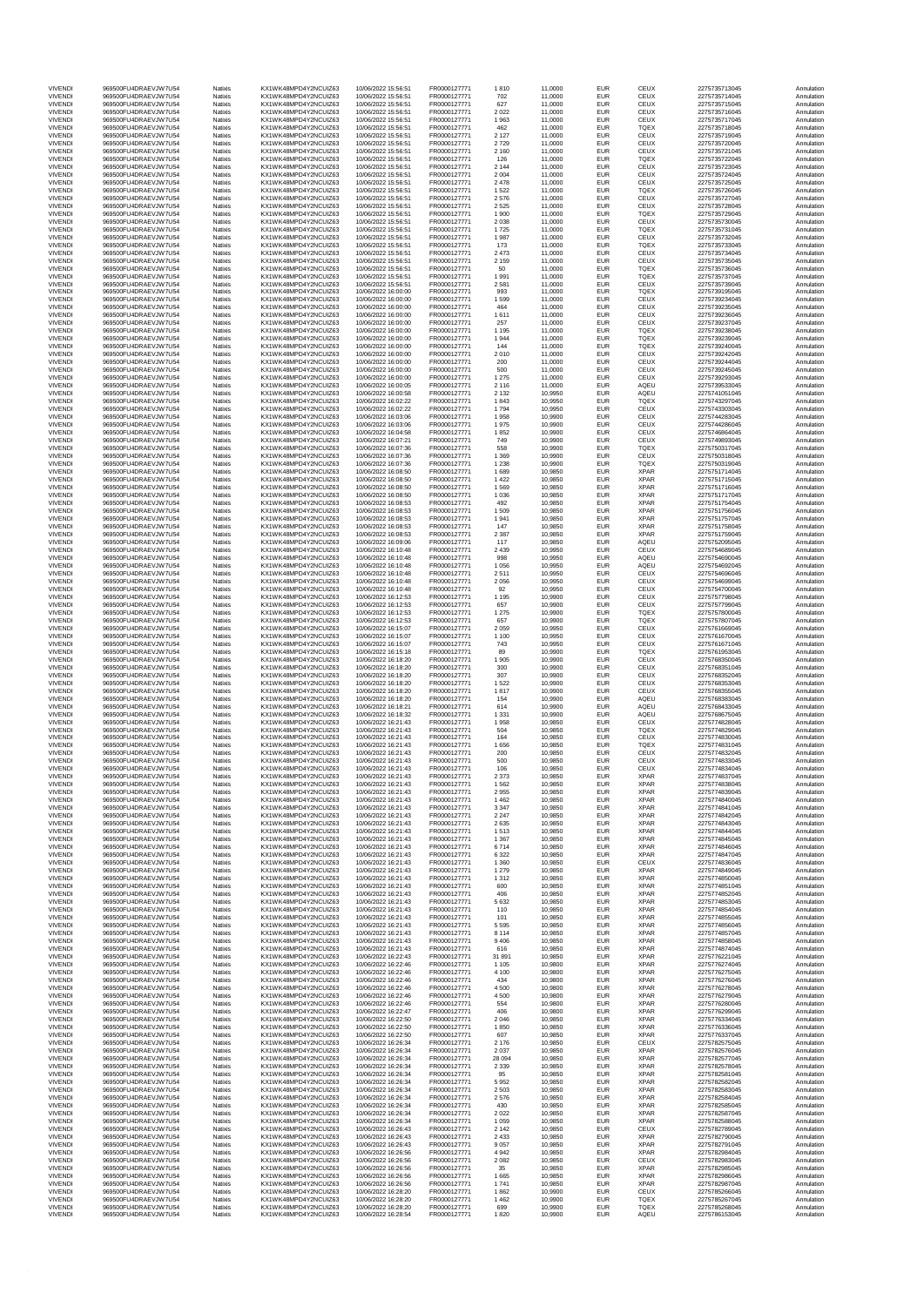| <b>VIVENDI</b>                   | 969500FU4DRAEVJW7U54                          | Natixis            | KX1WK48MPD4Y2NCUIZ63                          | 10/06/2022 15:56:51                        | FR0000127771                 | 1810               | 11,0000            | <b>EUR</b>               | CEUX                       | 2275735713045                  | Annulation               |
|----------------------------------|-----------------------------------------------|--------------------|-----------------------------------------------|--------------------------------------------|------------------------------|--------------------|--------------------|--------------------------|----------------------------|--------------------------------|--------------------------|
| <b>VIVENDI</b>                   | 969500FU4DRAEVJW7U54                          | Natixis            | KX1WK48MPD4Y2NCUIZ63                          | 10/06/2022 15:56:51                        | FR0000127771                 | 702                | 11,0000            | <b>EUR</b>               | CEUX                       | 2275735714045                  | Annulation               |
| VIVENDI                          | 969500FU4DRAEVJW7U54                          | Natixis            | KX1WK48MPD4Y2NCUIZ63                          | 10/06/2022 15:56:51                        | FR0000127771                 | 627                | 11,0000            | EUR                      | CEUX                       | 2275735715045                  | Annulation               |
| <b>VIVENDI</b><br><b>VIVENDI</b> | 969500FU4DRAEVJW7U54<br>969500FU4DRAEVJW7U54  | Natixis<br>Natixis | KX1WK48MPD4Y2NCUIZ63<br>KX1WK48MPD4Y2NCUIZ63  | 10/06/2022 15:56:51<br>10/06/2022 15:56:51 | FR0000127771<br>FR0000127771 | 2022<br>1963       | 11,0000<br>11,0000 | EUR<br>EUR               | CEUX<br>CEUX               | 2275735716045<br>2275735717045 | Annulation<br>Annulation |
| VIVENDI                          | 969500FU4DRAEVJW7U54                          | Natixis            | KX1WK48MPD4Y2NCUIZ63                          | 10/06/2022 15:56:51                        | FR0000127771                 | 462                | 11,0000            | EUR                      | <b>TQEX</b>                | 2275735718045                  | Annulation               |
| <b>VIVENDI</b>                   | 969500FU4DRAEVJW7U54                          | Natixis            | KX1WK48MPD4Y2NCUIZ63                          | 10/06/2022 15:56:51                        | FR0000127771                 | 2 1 2 7            | 11,0000            | EUR                      | CEUX                       | 2275735719045                  | Annulation               |
| <b>VIVENDI</b>                   | 969500FU4DRAEVJW7U54                          | Natixis            | KX1WK48MPD4Y2NCUIZ63                          | 10/06/2022 15:56:51                        | FR0000127771                 | 2729               | 11,0000            | EUR                      | CEUX                       | 2275735720045                  | Annulation               |
| <b>VIVENDI</b><br><b>VIVENDI</b> | 969500FU4DRAEVJW7U54<br>969500FU4DRAEVJW7U54  | Natixis<br>Natixis | KX1WK48MPD4Y2NCUIZ63<br>KX1WK48MPD4Y2NCUIZ63  | 10/06/2022 15:56:51<br>10/06/2022 15:56:51 | FR0000127771<br>FR0000127771 | 2 160<br>126       | 11,0000<br>11,0000 | <b>EUR</b><br>EUR        | CEUX<br>TQEX               | 2275735721045<br>2275735722045 | Annulation<br>Annulation |
| VIVENDI                          | 969500FU4DRAEVJW7U54                          | Natixis            | KX1WK48MPD4Y2NCUIZ63                          | 10/06/2022 15:56:51                        | FR0000127771                 | 2 144              | 11,0000            | EUR                      | CEUX                       | 2275735723045                  | Annulation               |
| <b>VIVENDI</b><br><b>VIVENDI</b> | 969500FU4DRAEVJW7U54<br>969500FU4DRAFV.IW7U54 | Natixis<br>Natixis | KX1WK48MPD4Y2NCUIZ63<br>KX1WK48MPD4Y2NCUIZ63  | 10/06/2022 15:56:51<br>10/06/2022 15:56:51 | FR0000127771<br>FR0000127771 | 2004<br>2478       | 11,0000<br>11,0000 | EUR<br>EUR               | CEUX<br>CEUX               | 2275735724045<br>2275735725045 | Annulation<br>Annulation |
| <b>VIVENDI</b>                   | 969500FU4DRAEVJW7U54                          | Natixis            | KX1WK48MPD4Y2NCLIIZ63                         | 10/06/2022 15:56:51                        | FR0000127771                 | 1522               | 11,0000            | EUR                      | <b>TQEX</b>                | 2275735726045                  | Annulation               |
| <b>VIVENDI</b>                   | 969500FU4DRAEVJW7U54                          | Natixis            | KX1WK48MPD4Y2NCUIZ63                          | 10/06/2022 15:56:51                        | FR0000127771                 | 2576               | 11,0000            | EUR                      | CEUX                       | 2275735727045                  | Annulation               |
| <b>VIVENDI</b>                   | 969500FU4DRAEVJW7U54                          | Natixis            | KX1WK48MPD4Y2NCUIZ63                          | 10/06/2022 15:56:51                        | FR0000127771                 | 2525               | 11,0000            | EUR<br>EUR               | CEUX<br><b>TQEX</b>        | 2275735728045                  | Annulation               |
| VIVENDI<br><b>VIVENDI</b>        | 969500FU4DRAEVJW7U54<br>969500FU4DRAEVJW7U54  | Natixis<br>Natixis | KX1WK48MPD4Y2NCUIZ63<br>KX1WK48MPD4Y2NCUIZ63  | 10/06/2022 15:56:51<br>10/06/2022 15:56:51 | FR0000127771<br>FR0000127771 | 1 900<br>2038      | 11,0000<br>11,0000 | <b>EUR</b>               | CEUX                       | 2275735729045<br>2275735730045 | Annulation<br>Annulation |
| <b>VIVENDI</b>                   | 969500FU4DRAEVJW7U54                          | Natixis            | KX1WK48MPD4Y2NCUIZ63                          | 10/06/2022 15:56:51                        | FR0000127771                 | 1725               | 11,0000            | EUR                      | <b>TQEX</b>                | 2275735731045                  | Annulation               |
| <b>VIVENDI</b>                   | 969500FU4DRAEVJW7U54                          | Natixis            | KX1WK48MPD4Y2NCUIZ63                          | 10/06/2022 15:56:51                        | FR0000127771                 | 1987               | 11,0000            | <b>EUR</b>               | CEUX                       | 2275735732045                  | Annulation               |
| <b>VIVENDI</b><br>VIVENDI        | 969500FU4DRAEVJW7U54<br>969500FU4DRAEVJW7U54  | Natixis<br>Natixis | KX1WK48MPD4Y2NCUIZ63<br>KX1WK48MPD4Y2NCUIZ63  | 10/06/2022 15:56:51<br>10/06/2022 15:56:51 | FR0000127771<br>FR0000127771 | 173<br>2473        | 11,0000<br>11,0000 | <b>EUR</b><br>EUR        | TQEX<br>CEUX               | 2275735733045<br>2275735734045 | Annulation<br>Annulation |
| <b>VIVENDI</b>                   | 969500FU4DRAEVJW7U54                          | Natixis            | KX1WK48MPD4Y2NCUIZ63                          | 10/06/2022 15:56:51                        | FR0000127771                 | 2 159              | 11,0000            | <b>EUR</b>               | CEUX                       | 2275735735045                  | Annulation               |
| <b>VIVENDI</b>                   | 969500FU4DRAEVJW7U54                          | Natixis            | KX1WK48MPD4Y2NCUIZ63                          | 10/06/2022 15:56:51                        | FR0000127771                 | 50                 | 11,0000            | EUR                      | <b>TQEX</b>                | 2275735736045                  | Annulation               |
| VIVENDI<br>VIVEND                | 969500FU4DRAEVJW7U54<br>969500FU4DRAEVJW7U54  | Natixis<br>Natixis | KX1WK48MPD4Y2NCUIZ63<br>KX1WK48MPD4Y2NCUIZ63  | 10/06/2022 15:56:51<br>10/06/2022 15:56:51 | FR0000127771<br>FR0000127771 | 1991<br>2581       | 11,0000<br>11,0000 | EUR<br><b>EUR</b>        | <b>TQEX</b><br>CEUX        | 2275735737045<br>2275735739045 | Annulation<br>Annulation |
| <b>VIVENDI</b>                   | 969500FU4DRAEVJW7U54                          | Natixis            | KX1WK48MPD4Y2NCUIZ63                          | 10/06/2022 16:00:00                        | FR0000127771                 | 993                | 11,0000            | EUR                      | <b>TQEX</b>                | 2275739195045                  | Annulation               |
| VIVENDI                          | 969500FU4DRAEVJW7U54                          | Natixis            | KX1WK48MPD4Y2NCUIZ63                          | 10/06/2022 16:00:00                        | FR0000127771                 | 1599               | 11,0000            | EUR                      | CEUX                       | 2275739234045                  | Annulation               |
| <b>VIVENDI</b>                   | 969500FU4DRAEVJW7U54                          | Natixis            | KX1WK48MPD4Y2NCUIZ63                          | 10/06/2022 16:00:00                        | FR0000127771                 | 464                | 11,0000            | EUR                      | CEUX                       | 2275739235045                  | Annulation               |
| <b>VIVENDI</b><br><b>VIVENDI</b> | 969500FU4DRAEVJW7U54<br>969500FU4DRAEVJW7U54  | Natixis<br>Natixis | KX1WK48MPD4Y2NCUIZ63<br>KX1WK48MPD4Y2NCUIZ63  | 10/06/2022 16:00:00<br>10/06/2022 16:00:00 | FR0000127771<br>FR0000127771 | 1611<br>257        | 11,0000<br>11,0000 | EUR<br><b>EUR</b>        | CEUX<br>CEUX               | 2275739236045<br>2275739237045 | Annulation<br>Annulation |
| <b>VIVENDI</b>                   | 969500FU4DRAEVJW7U54                          | Natixis            | KX1WK48MPD4Y2NCUIZ63                          | 10/06/2022 16:00:00                        | FR0000127771                 | 1 1 9 5            | 11,0000            | EUR                      | <b>TQEX</b>                | 2275739238045                  | Annulation               |
| <b>VIVENDI</b>                   | 969500FU4DRAEVJW7U54                          | Natixis            | KX1WK48MPD4Y2NCUIZ63                          | 10/06/2022 16:00:00                        | FR0000127771                 | 1944               | 11,0000            | EUR                      | <b>TQEX</b>                | 2275739239045                  | Annulation               |
| <b>VIVENDI</b><br><b>VIVENDI</b> | 969500FU4DRAEVJW7U54<br>969500FU4DRAEVJW7U54  | Natixis<br>Natixis | KX1WK48MPD4Y2NCUIZ63<br>KX1WK48MPD4Y2NCUIZ63  | 10/06/2022 16:00:00<br>10/06/2022 16:00:00 | FR0000127771<br>FR0000127771 | 144<br>2010        | 11,0000<br>11,0000 | <b>EUR</b><br>EUR        | TQEX<br>CEUX               | 2275739240045<br>2275739242045 | Annulation<br>Annulation |
| VIVENDI                          | 969500FU4DRAEVJW7U54                          | Natixis            | KX1WK48MPD4Y2NCUIZ63                          | 10/06/2022 16:00:00                        | FR0000127771                 | 200                | 11,0000            | EUR                      | CEUX                       | 2275739244045                  | Annulation               |
| <b>VIVENDI</b>                   | 969500FU4DRAEVJW7U54                          | Natixis            | KX1WK48MPD4Y2NCUIZ63                          | 10/06/2022 16:00:00                        | FR0000127771                 | 500                | 11,0000            | <b>EUR</b>               | CEUX                       | 2275739245045                  | Annulation               |
| <b>VIVENDI</b><br>VIVENDI        | 969500FU4DRAEVJW7U54<br>969500FU4DRAEVJW7U54  | Natixis<br>Natixis | KX1WK48MPD4Y2NCUIZ63<br>KX1WK48MPD4Y2NCUIZ63  | 10/06/2022 16:00:00<br>10/06/2022 16:00:05 | FR0000127771<br>FR0000127771 | 1 2 7 5<br>2 1 1 6 | 11,0000            | EUR<br>EUR               | CEUX<br>AQEU               | 2275739293045                  | Annulation<br>Annulation |
| <b>VIVENDI</b>                   | 969500FU4DRAEVJW7U54                          | Natixis            | KX1WK48MPD4Y2NCUIZ63                          | 10/06/2022 16:00:58                        | FR0000127771                 | 2 1 3 2            | 11,0000<br>10,9950 | EUR                      | AQEU                       | 2275739533045<br>2275741051045 | Annulation               |
| <b>VIVENDI</b>                   | 969500FU4DRAEVJW7U54                          | Natixis            | KX1WK48MPD4Y2NCUIZ63                          | 10/06/2022 16:02:22                        | FR0000127771                 | 1843               | 10,9950            | EUR                      | <b>TQEX</b>                | 2275743297045                  | Annulation               |
| VIVENDI                          | 969500FU4DRAEVJW7U54                          | Natixis            | KX1WK48MPD4Y2NCUIZ63                          | 10/06/2022 16:02:22                        | FR0000127771                 | 1794               | 10,9950            | <b>EUR</b>               | CEUX                       | 2275743303045                  | Annulation<br>Annulation |
| <b>VIVENDI</b><br><b>VIVENDI</b> | 969500FU4DRAEVJW7U54<br>969500FU4DRAFV.IW7U54 | Natixis<br>Natixis | KX1WK48MPD4Y2NCUIZ63<br>KX1WK48MPD4Y2NCUIZ63  | 10/06/2022 16:03:06<br>10/06/2022 16:03:06 | FR0000127771<br>FR0000127771 | 1958<br>1975       | 10,9900<br>10,9900 | EUR<br>EUR               | CEUX<br>CEUX               | 2275744283045<br>2275744286045 | Annulation               |
| <b>VIVENDI</b>                   | 969500FU4DRAEVJW7U54                          | Natixis            | KX1WK48MPD4Y2NCUIZ63                          | 10/06/2022 16:04:58                        | FR0000127771                 | 1852               | 10,9900            | <b>EUR</b>               | CEUX                       | 2275746864045                  | Annulation               |
| <b>VIVENDI</b>                   | 969500FU4DRAEVJW7U54                          | Natixis            | KX1WK48MPD4Y2NCUIZ63                          | 10/06/2022 16:07:21                        | FR0000127771                 | 749                | 10,9900            | EUR                      | CEUX                       | 2275749893045                  | Annulation               |
| VIVENDI                          | 969500FU4DRAEVJW7U54                          | Natixis            | KX1WK48MPD4Y2NCUIZ63                          | 10/06/2022 16:07:36                        | FR0000127771<br>FR0000127771 | 558                | 10,9900            | EUR                      | <b>TQEX</b>                | 2275750317045<br>2275750318045 | Annulation               |
| VIVEND<br><b>VIVENDI</b>         | 969500FU4DRAEVJW7U54<br>969500FU4DRAEVJW7U54  | Natixis<br>Natixis | KX1WK48MPD4Y2NCUIZ63<br>KX1WK48MPD4Y2NCUIZ63  | 10/06/2022 16:07:36<br>10/06/2022 16:07:36 | FR0000127771                 | 1 3 6 9<br>1 2 3 8 | 10,9900<br>10,9900 | <b>EUR</b><br>EUR        | CEUX<br><b>TQEX</b>        | 2275750319045                  | Annulation<br>Annulation |
| VIVENDI                          | 969500FU4DRAEVJW7U54                          | Natixis            | KX1WK48MPD4Y2NCUIZ63                          | 10/06/2022 16:08:50                        | FR0000127771                 | 1689               | 10,9850            | EUR                      | <b>XPAR</b>                | 2275751714045                  | Annulation               |
| VIVENDI                          | 969500FU4DRAEVJW7U54                          | Natixis            | KX1WK48MPD4Y2NCUIZ63                          | 10/06/2022 16:08:50                        | FR0000127771                 | 1 4 2 2            | 10,9850            | <b>EUR</b>               | <b>XPAR</b>                | 2275751715045                  | Annulation               |
| <b>VIVENDI</b><br>VIVENDI        | 969500FU4DRAEVJW7U54<br>969500FU4DRAEVJW7U54  | Natixis<br>Natixis | KX1WK48MPD4Y2NCUIZ63<br>KX1WK48MPD4Y2NCUIZ63  | 10/06/2022 16:08:50<br>10/06/2022 16:08:50 | FR0000127771<br>FR0000127771 | 1569<br>1 0 3 6    | 10,9850<br>10,9850 | EUR<br>EUR               | <b>XPAR</b><br><b>XPAR</b> | 2275751716045<br>2275751717045 | Annulation<br>Annulation |
| <b>VIVENDI</b>                   | 969500FU4DRAEVJW7U54                          | Natixis            | KX1WK48MPD4Y2NCUIZ63                          | 10/06/2022 16:08:53                        | FR0000127771                 | 492                | 10,9850            | EUR                      | <b>XPAR</b>                | 2275751754045                  | Annulation               |
| <b>VIVENDI</b>                   | 969500FU4DRAEVJW7U54                          | Natixis            | KX1WK48MPD4Y2NCUIZ63                          | 10/06/2022 16:08:53                        | FR0000127771                 | 1509               | 10,9850            | EUR                      | <b>XPAR</b>                | 2275751756045                  | Annulation               |
| <b>VIVENDI</b><br><b>VIVENDI</b> | 969500FU4DRAEVJW7U54<br>969500FU4DRAEVJW7U54  | Natixis<br>Natixis | KX1WK48MPD4Y2NCUIZ63<br>KX1WK48MPD4Y2NCUIZ63  | 10/06/2022 16:08:53<br>10/06/2022 16:08:53 | FR0000127771<br>FR0000127771 | 1941<br>147        | 10,9850<br>10,9850 | EUR<br>EUR               | <b>XPAR</b><br><b>XPAR</b> | 2275751757045<br>2275751758045 | Annulation<br>Annulation |
| <b>VIVENDI</b>                   | 969500FU4DRAEVJW7U54                          | Natixis            | KX1WK48MPD4Y2NCUIZ63                          | 10/06/2022 16:08:53                        | FR0000127771                 | 2 3 8 7            | 10,9850            | EUR                      | <b>XPAR</b>                | 2275751759045                  | Annulation               |
| <b>VIVENDI</b>                   | 969500FU4DRAEVJW7U54                          | Natixis            | KX1WK48MPD4Y2NCUIZ63                          | 10/06/2022 16:09:06                        | FR0000127771                 | 117                | 10,9850            | EUR                      | AQEU                       | 2275752095045                  | Annulation               |
| <b>VIVENDI</b>                   | 969500FU4DRAEVJW7U54                          | Natixis            | KX1WK48MPD4Y2NCUIZ63                          | 10/06/2022 16:10:48                        | FR0000127771                 | 2439               | 10,9950            | EUR                      | CEUX                       | 2275754689045                  | Annulation               |
| <b>VIVENDI</b><br><b>VIVENDI</b> | 969500FU4DRAEVJW7U54<br>969500FU4DRAEVJW7U54  | Natixis<br>Natixis | KX1WK48MPD4Y2NCUIZ63<br>KX1WK48MPD4Y2NCUIZ63  | 10/06/2022 16:10:48<br>10/06/2022 16:10:48 | FR0000127771<br>FR0000127771 | 998<br>1 0 5 6     | 10,9950<br>10,9950 | EUR<br><b>EUR</b>        | AQEU<br>AQEU               | 2275754690045<br>2275754692045 | Annulation<br>Annulation |
| <b>VIVENDI</b>                   | 969500FU4DRAEVJW7U54                          | Natixis            | KX1WK48MPD4Y2NCUIZ63                          | 10/06/2022 16:10:48                        | FR0000127771                 | 2511               | 10,9950            | EUR                      | CEUX                       | 2275754696045                  | Annulation               |
| VIVENDI                          | 969500FU4DRAEVJW7U54                          | Natixis            | KX1WK48MPD4Y2NCUIZ63                          | 10/06/2022 16:10:48                        | FR0000127771                 | 2056               | 10,9950            | EUR                      | CEUX                       | 2275754699045                  | Annulation               |
| <b>VIVENDI</b><br><b>VIVENDI</b> | 969500FU4DRAEVJW7U54<br>969500FU4DRAEVJW7U54  | Natixis<br>Natixis | KX1WK48MPD4Y2NCUIZ63<br>KX1WK48MPD4Y2NCUIZ63  | 10/06/2022 16:10:48<br>10/06/2022 16:12:53 | FR0000127771<br>FR0000127771 | 92<br>1 1 9 5      | 10,9950<br>10,9900 | EUR<br>EUR               | CEUX<br>CEUX               | 2275754700045<br>2275757798045 | Annulation<br>Annulation |
| <b>VIVENDI</b>                   | 969500FU4DRAEVJW7U54                          | Natixis            | KX1WK48MPD4Y2NCUIZ63                          | 10/06/2022 16:12:53                        | FR0000127771                 | 657                | 10,9900            | <b>EUR</b>               | CEUX                       | 2275757799045                  | Annulation               |
| <b>VIVENDI</b>                   | 969500FU4DRAEVJW7U54                          | Natixis            | KX1WK48MPD4Y2NCUIZ63                          | 10/06/2022 16:12:53                        | FR0000127771                 | 1 275              | 10,9900            | <b>EUR</b>               | TQEX                       | 2275757800045                  | Annulation               |
| VIVENDI<br>VIVEND                | 969500FU4DRAEVJW7U54<br>969500FU4DRAEVJW7U54  | Natixis<br>Natixis | KX1WK48MPD4Y2NCUIZ63<br>KX1WK48MPD4Y2NCUIZ63  | 10/06/2022 16:12:53<br>10/06/2022 16:15:07 | FR0000127771<br>FR0000127771 | 657<br>2059        | 10,9900<br>10,9950 | EUR<br><b>EUR</b>        | <b>TQEX</b><br>CEUX        | 2275757807045<br>2275761669045 | Annulation<br>Annulation |
| <b>VIVENDI</b>                   | 969500FU4DRAEVJW7U54                          | Natixis            | KX1WK48MPD4Y2NCUIZ63                          | 10/06/2022 16:15:07                        | FR0000127771                 | 1 100              | 10,9950            | EUR                      | CEUX                       | 2275761670045                  | Annulation               |
| VIVENDI                          | 969500FU4DRAEVJW7U54                          | Natixis            | KX1WK48MPD4Y2NCUIZ63                          | 10/06/2022 16:15:07                        | FR0000127771                 | 743                | 10,9950            | EUR                      | CEUX                       | 2275761671045                  | Annulation               |
| VIVEND                           | 969500FU4DRAEVJW7U54                          | Natixis            | KX1WK48MPD4Y2NCUIZ63                          | 10/06/2022 16:15:18                        | FR0000127771                 | 89                 | 10,9900            | <b>EUR</b>               | TQEX                       | 2275761953045                  | Annulation               |
| <b>VIVENDI</b><br>VIVENDI        | 969500FU4DRAEVJW7U54<br>969500FU4DRAEVJW7U54  | Natixis<br>Natixis | KX1WK48MPD4Y2NCUIZ63<br>KX1WK48MPD4Y2NCUIZ63  | 10/06/2022 16:18:20<br>10/06/2022 16:18:20 | FR0000127771<br>FR0000127771 | 1905<br>300        | 10,9900<br>10,9900 | EUR<br>EUR               | CEUX<br>CEUX               | 2275768350045<br>2275768351045 | Annulation<br>Annulation |
| <b>VIVENDI</b>                   | 969500FU4DRAEVJW7U54                          | Natixis            | KX1WK48MPD4Y2NCUIZ63                          | 10/06/2022 16:18:20                        | FR0000127771                 | 307                | 10,9900            | EUR                      | CEUX                       | 2275768352045                  | Annulation               |
| <b>VIVENDI</b>                   | 969500FU4DRAEVJW7U54                          | Natixis            | KX1WK48MPD4Y2NCUIZ63                          | 10/06/2022 16:18:20                        | FR0000127771                 | 1522               | 10,9900            | EUR                      | CEUX                       | 2275768353045                  | Annulation               |
| <b>VIVENDI</b><br><b>VIVENDI</b> | 969500FU4DRAEVJW7U54<br>969500FU4DRAEVJW7U54  | Natixis<br>Natixis | KX1WK48MPD4Y2NCUIZ63<br>KX1WK48MPD4Y2NCUIZ63  | 10/06/2022 16:18:20<br>10/06/2022 16:18:20 | FR0000127771<br>FR0000127771 | 1817<br>154        | 10,9900<br>10,9900 | <b>EUR</b><br>EUR        | CEUX<br>AQEU               | 2275768355045<br>2275768383045 | Annulation<br>Annulation |
| <b>VIVENDI</b>                   | 969500FU4DRAFV.IW7U54                         | Natixis            | KX1WK48MPD4Y2NCUIZ63                          | 10/06/2022 16:18:21                        | FR0000127771                 | 614                | 10,9900            | EUR                      | AQEU                       | 2275768433045                  | Annulation               |
| <b>VIVENDI</b>                   | 969500FU4DRAEVJW7U54                          | Natixis            | KX1WK48MPD4Y2NCUIZ63                          | 10/06/2022 16:18:32                        | FR0000127771                 | 1 3 3 1            | 10,9900            | <b>EUR</b>               | AQEU                       | 2275768675045                  | Annulation               |
| <b>VIVENDI</b>                   | 969500FU4DRAEVJW7U54<br>969500FU4DRAFV.IW7U54 | Natixis            | KX1WK48MPD4Y2NCUIZ63                          | 10/06/2022 16:21:43                        | FR0000127771                 | 1958               | 10,9850            | EUR                      | CEUX                       | 2275774828045                  | Annulation               |
| VIVENDI<br><b>VIVENDI</b>        | 969500FU4DRAEVJW7U54                          | Natixis<br>Natixis | KX1WK48MPD4Y2NCUIZ63<br>KX1WK48MPD4Y2NCUIZ63  | 10/06/2022 16:21:43<br>10/06/2022 16:21:43 | FR0000127771<br>FR0000127771 | 504<br>164         | 10,9850<br>10,9850 | EUR<br><b>EUR</b>        | <b>TQEX</b><br>CEUX        | 2275774829045<br>2275774830045 | Annulation<br>Annulation |
| <b>VIVENDI</b>                   | 969500FU4DRAEVJW7U54                          | Natixis            | KX1WK48MPD4Y2NCUIZ63                          | 10/06/2022 16:21:43                        | FR0000127771                 | 1656               | 10,9850            | EUR                      | <b>TQEX</b>                | 2275774831045                  | Annulation               |
| <b>VIVENDI</b>                   | 969500FU4DRAEVJW7U54                          | Natixis            | KX1WK48MPD4Y2NCUIZ63                          | 10/06/2022 16:21:43                        | FR0000127771                 | 200                | 10,9850            | EUR                      | CEUX                       | 2275774832045                  | Annulation               |
| <b>VIVENDI</b><br><b>VIVENDI</b> | 969500FU4DRAEVJW7U54<br>969500FU4DRAEVJW7U54  | Natixis<br>Natixis | KX1WK48MPD4Y2NCUIZ63<br>KX1WK48MPD4Y2NCUIZ63  | 10/06/2022 16:21:43<br>10/06/2022 16:21:43 | FR0000127771<br>FR0000127771 | 500<br>106         | 10,9850<br>10,9850 | EUR<br>EUR               | CEUX<br>CEUX               | 2275774833045<br>2275774834045 | Annulation<br>Annulation |
| VIVENDI                          | 969500FU4DRAEVJW7U54                          | Natixis            | KX1WK48MPD4Y2NCUIZ63                          | 10/06/2022 16:21:43                        | FR0000127771                 | 2 3 7 3            | 10,9850            | EUR                      | <b>XPAR</b>                | 2275774837045                  | Annulation               |
| VIVENDI                          | 969500FU4DRAEVJW7U54                          | Natixis            | KX1WK48MPD4Y2NCUIZ63                          | 10/06/2022 16:21:43                        | FR0000127771                 | 1562               | 10.9850            | EUR                      | <b>XPAR</b>                | 2275774838045                  | Annulation               |
| <b>VIVENDI</b>                   | 969500FU4DRAEVJW7U54                          | Natixis            | KX1WK48MPD4Y2NCUIZ63                          | 10/06/2022 16:21:43                        | FR0000127771                 | 2955               | 10,9850            | EUR                      | <b>XPAR</b>                | 2275774839045                  | Annulation               |
| VIVENDI<br><b>VIVENDI</b>        | 969500FU4DRAEVJW7U54<br>969500FU4DRAEVJW7U54  | Natixis<br>Natixis | KX1WK48MPD4Y2NCUIZ63<br>KX1WK48MPD4Y2NCUIZ63  | 10/06/2022 16:21:43<br>10/06/2022 16:21:43 | FR0000127771<br>FR0000127771 | 1 4 6 2<br>3 3 4 7 | 10,9850<br>10,9850 | <b>EUR</b><br>EUR        | <b>XPAR</b><br><b>XPAR</b> | 2275774840045<br>2275774841045 | Annulation<br>Annulation |
| <b>VIVENDI</b>                   | 969500FU4DRAFV.IW7U54                         | Natixis            | KX1WK48MPD4Y2NCUIZ63                          | 10/06/2022 16:21:43                        | FR0000127771                 | 2 2 4 7            | 10,9850            | <b>EUR</b>               | <b>XPAR</b>                | 2275774842045                  | Annulation               |
| VIVEND                           | 969500FU4DRAEVJW7U54                          | Natixis            | KX1WK48MPD4Y2NCUIZ63                          | 10/06/2022 16:21:43                        | FR0000127771                 | 2635               | 10,9850            | <b>EUR</b>               | <b>XPAR</b>                | 2275774843045                  | Annulation               |
| <b>VIVENDI</b><br><b>VIVENDI</b> | 969500FU4DRAFV.IW7U54<br>969500FU4DRAEVJW7U54 | Natixis<br>Natixis | KX1WK48MPD4Y2NCUIZ63<br>KX1WK48MPD4Y2NCUIZ63  | 10/06/2022 16:21:43<br>10/06/2022 16:21:43 | FR0000127771<br>FR0000127771 | 1513<br>1 3 6 7    | 10,9850<br>10,9850 | EUR<br><b>FUR</b>        | <b>XPAR</b><br><b>XPAR</b> | 2275774844045<br>2275774845045 | Annulation<br>Annulation |
| VIVEND                           | 969500FU4DRAEVJW7U54                          | Natixis            | KX1WK48MPD4Y2NCUIZ63                          | 10/06/2022 16:21:43                        | FR0000127771                 | 6714               | 10,9850            | <b>EUR</b>               | <b>XPAR</b>                | 2275774846045                  | Annulation               |
| <b>VIVENDI</b>                   | 969500FU4DRAEVJW7U54                          | Natixis            | KX1WK48MPD4Y2NCUIZ63                          | 10/06/2022 16:21:43                        | FR0000127771                 | 6 3 2 2            | 10,9850            | EUR                      | <b>XPAR</b>                | 2275774847045                  | Annulation               |
| VIVENDI<br><b>VIVENDI</b>        | 969500FU4DRAEVJW7U54<br>969500FU4DRAEVJW7U54  | Natixis<br>Natixis | KX1WK48MPD4Y2NCUIZ63<br>KX1WK48MPD4Y2NCUIZ63  | 10/06/2022 16:21:43<br>10/06/2022 16:21:43 | FR0000127771<br>FR0000127771 | 1 3 6 0<br>1 2 7 9 | 10,9850<br>10,9850 | <b>EUR</b><br>EUR        | CEUX<br><b>XPAR</b>        | 2275774836045<br>2275774849045 | Annulation<br>Annulation |
| <b>VIVENDI</b>                   | 969500FU4DRAEVJW7U54                          | Natixis            | KX1WK48MPD4Y2NCUIZ63                          | 10/06/2022 16:21:43                        | FR0000127771                 | 1312               | 10,9850            | EUR                      | <b>XPAR</b>                | 2275774850045                  | Annulation               |
| <b>VIVENDI</b>                   | 969500FU4DRAEVJW7U54                          | Natixis            | KX1WK48MPD4Y2NCUIZ63                          | 10/06/2022 16:21:43                        | FR0000127771                 | 600                | 10,9850            | <b>EUR</b><br>EUR        | <b>XPAR</b><br><b>XPAR</b> | 2275774851045                  | Annulation               |
| <b>VIVENDI</b><br><b>VIVENDI</b> | 969500FU4DRAEVJW7U54<br>969500FU4DRAEVJW7U54  | Natixis<br>Natixis | KX1WK48MPD4Y2NCUIZ63<br>KX1WK48MPD4Y2NCUIZ63  | 10/06/2022 16:21:43<br>10/06/2022 16:21:43 | FR0000127771<br>FR0000127771 | 406<br>5632        | 10,9850<br>10,9850 | <b>FUR</b>               | <b>XPAR</b>                | 2275774852045<br>2275774853045 | Annulation<br>Annulation |
| VIVEND                           | 969500FU4DRAEVJW7U54                          | Natixis            | KX1WK48MPD4Y2NCUIZ63                          | 10/06/2022 16:21:43                        | FR0000127771                 | 110                | 10,9850            | <b>EUR</b>               | <b>XPAR</b>                | 2275774854045                  | Annulation               |
| <b>VIVENDI</b>                   | 969500FU4DRAEVJW7U54                          | Natixis            | KX1WK48MPD4Y2NCUIZ63                          | 10/06/2022 16:21:43                        | FR0000127771                 | 101                | 10,9850            | EUR                      | <b>XPAR</b>                | 2275774855045                  | Annulation               |
| <b>VIVENDI</b><br>VIVEND         | 969500FU4DRAFV.IW7U54<br>969500FU4DRAEVJW7U54 | Natixis<br>Natixis | KX1WK48MPD4Y2NCLIIZ63<br>KX1WK48MPD4Y2NCUIZ63 | 10/06/2022 16:21:43<br>10/06/2022 16:21:43 | FR0000127771<br>FR0000127771 | 5 5 9 5<br>8 1 1 4 | 10,9850<br>10,9850 | <b>FUR</b><br><b>EUR</b> | <b>XPAR</b><br><b>XPAR</b> | 2275774856045<br>2275774857045 | Annulation<br>Annulation |
| <b>VIVENDI</b>                   | 969500FU4DRAFV.IW7U54                         | Natixis            | KX1WK48MPD4Y2NCUIZ63                          | 10/06/2022 16:21:43                        | FR0000127771                 | 9 4 0 6            | 10,9850            | EUR                      | <b>XPAR</b>                | 2275774858045                  | Annulation               |
| VIVENDI                          | 969500FU4DRAEVJW7U54                          | Natixis            | KX1WK48MPD4Y2NCUIZ63                          | 10/06/2022 16:21:43                        | FR0000127771                 | 616                | 10,9850            | EUR                      | <b>XPAR</b>                | 2275774874045                  | Annulation               |
| <b>VIVENDI</b><br>VIVENDI        | 969500FU4DRAEVJW7U54<br>969500FU4DRAEVJW7U54  | Natixis<br>Natixis | KX1WK48MPD4Y2NCUIZ63<br>KX1WK48MPD4Y2NCUIZ63  | 10/06/2022 16:22:43<br>10/06/2022 16:22:46 | FR0000127771<br>FR0000127771 | 31 891<br>1 1 0 5  | 10,9850<br>10,9800 | EUR<br><b>EUR</b>        | <b>XPAR</b><br><b>XPAR</b> | 2275776221045<br>2275776274045 | Annulation<br>Annulation |
| VIVEND                           | 969500FU4DRAEVJW7U54                          | Natixis            | KX1WK48MPD4Y2NCUIZ63                          | 10/06/2022 16:22:46                        | FR0000127771                 | 4 100              | 10,9800            | <b>EUR</b>               | <b>XPAR</b>                | 2275776275045                  | Annulation               |
| <b>VIVENDI</b>                   | 969500FU4DRAEVJW7U54                          | Natixis            | KX1WK48MPD4Y2NCUIZ63                          | 10/06/2022 16:22:46                        | FR0000127771                 | 434                | 10,9800            | EUR                      | <b>XPAR</b>                | 2275776276045                  | Annulation               |
| VIVENDI                          | 969500FU4DRAEVJW7U54                          | Natixis            | KX1WK48MPD4Y2NCUIZ63                          | 10/06/2022 16:22:46                        | FR0000127771                 | 4500               | 10,9800            | EUR                      | <b>XPAR</b>                | 2275776278045                  | Annulation               |
| VIVENDI<br><b>VIVENDI</b>        | 969500FU4DRAEVJW7U54<br>969500FU4DRAEVJW7U54  | Natixis<br>Natixis | KX1WK48MPD4Y2NCUIZ63<br>KX1WK48MPD4Y2NCUIZ63  | 10/06/2022 16:22:46<br>10/06/2022 16:22:46 | FR0000127771<br>FR0000127771 | 4500<br>554        | 10,9800<br>10,9800 | <b>EUR</b><br>EUR        | <b>XPAR</b><br><b>XPAR</b> | 2275776279045<br>2275776280045 | Annulation<br>Annulation |
| <b>VIVENDI</b>                   | 969500FU4DRAEVJW7U54                          | Natixis            | KX1WK48MPD4Y2NCUIZ63                          | 10/06/2022 16:22:47                        | FR0000127771                 | 406                | 10,9800            | EUR                      | <b>XPAR</b>                | 2275776299045                  | Annulation               |
| VIVEND                           | 969500FU4DRAEVJW7U54                          | Natixis            | KX1WK48MPD4Y2NCUIZ63                          | 10/06/2022 16:22:50                        | FR0000127771                 | 2 0 4 6            | 10,9850            | <b>EUR</b>               | <b>XPAR</b>                | 2275776334045                  | Annulation               |
| <b>VIVENDI</b><br>VIVENDI        | 969500FU4DRAEVJW7U54<br>969500FU4DRAEVJW7U54  | Natixis<br>Natixis | KX1WK48MPD4Y2NCUIZ63<br>KX1WK48MPD4Y2NCUIZ63  | 10/06/2022 16:22:50<br>10/06/2022 16:22:50 | FR0000127771<br>FR0000127771 | 1850<br>607        | 10,9850<br>10,9850 | EUR<br>EUR               | <b>XPAR</b><br><b>XPAR</b> | 2275776336045<br>2275776337045 | Annulation<br>Annulation |
| <b>VIVENDI</b>                   | 969500FU4DRAEVJW7U54                          | Natixis            | KX1WK48MPD4Y2NCUIZ63                          | 10/06/2022 16:26:34                        | FR0000127771                 | 2 176              | 10,9850            | EUR                      | CEUX                       | 2275782575045                  | Annulation               |
| <b>VIVENDI</b>                   | 969500FU4DRAEVJW7U54                          | Natixis            | KX1WK48MPD4Y2NCUIZ63                          | 10/06/2022 16:26:34                        | FR0000127771                 | 2 0 3 7            | 10,9850            | EUR                      | <b>XPAR</b>                | 2275782576045                  | Annulation               |
| VIVENDI<br><b>VIVENDI</b>        | 969500FU4DRAEVJW7U54<br>969500FU4DRAEVJW7U54  | Natixis<br>Natixis | KX1WK48MPD4Y2NCUIZ63<br>KX1WK48MPD4Y2NCUIZ63  | 10/06/2022 16:26:34<br>10/06/2022 16:26:34 | FR0000127771<br>FR0000127771 | 28 094<br>2 3 3 9  | 10,9850<br>10,9850 | <b>EUR</b><br>EUR        | <b>XPAR</b><br><b>XPAR</b> | 2275782577045<br>2275782578045 | Annulation<br>Annulation |
| <b>VIVENDI</b>                   | 969500FU4DRAEVJW7U54                          | Natixis            | KX1WK48MPD4Y2NCUIZ63                          | 10/06/2022 16:26:34                        | FR0000127771                 | 95                 | 10,9850            | EUR                      | <b>XPAR</b>                | 2275782581045                  | Annulation               |
| <b>VIVENDI</b>                   | 969500FU4DRAEVJW7U54                          | Natixis            | KX1WK48MPD4Y2NCUIZ63                          | 10/06/2022 16:26:34                        | FR0000127771                 | 5952               | 10,9850            | EUR                      | <b>XPAR</b>                | 2275782582045                  | Annulation               |
| <b>VIVENDI</b><br><b>VIVENDI</b> | 969500FU4DRAEVJW7U54<br>969500FU4DRAEVJW7U54  | Natixis<br>Natixis | KX1WK48MPD4Y2NCUIZ63<br>KX1WK48MPD4Y2NCUIZ63  | 10/06/2022 16:26:34<br>10/06/2022 16:26:34 | FR0000127771                 | 2503<br>2576       | 10,9850            | EUR<br><b>FUR</b>        | <b>XPAR</b><br><b>XPAR</b> | 2275782583045                  | Annulation               |
| VIVENDI                          | 969500FU4DRAEVJW7U54                          | Natixis            | KX1WK48MPD4Y2NCUIZ63                          | 10/06/2022 16:26:34                        | FR0000127771<br>FR0000127771 | 430                | 10,9850<br>10,9850 | EUR                      | <b>XPAR</b>                | 2275782584045<br>2275782585045 | Annulation<br>Annulation |
| <b>VIVENDI</b>                   | 969500FU4DRAEVJW7U54                          | Natixis            | KX1WK48MPD4Y2NCUIZ63                          | 10/06/2022 16:26:34                        | FR0000127771                 | 2022               | 10,9850            | EUR                      | <b>XPAR</b>                | 2275782587045                  | Annulation               |
| <b>VIVENDI</b><br>VIVEND         | 969500FU4DRAEVJW7U54<br>969500FU4DRAEVJW7U54  | Natixis<br>Natixis | KX1WK48MPD4Y2NCUIZ63<br>KX1WK48MPD4Y2NCUIZ63  | 10/06/2022 16:26:34<br>10/06/2022 16:26:43 | FR0000127771<br>FR0000127771 | 1 0 5 9<br>2 1 4 2 | 10,9850<br>10,9850 | <b>FUR</b><br><b>EUR</b> | <b>XPAR</b><br>CEUX        | 2275782588045<br>2275782789045 | Annulation<br>Annulation |
| <b>VIVENDI</b>                   | 969500FU4DRAEVJW7U54                          | Natixis            | KX1WK48MPD4Y2NCUIZ63                          | 10/06/2022 16:26:43                        | FR0000127771                 | 2 4 3 3            | 10,9850            | EUR                      | <b>XPAR</b>                | 2275782790045                  | Annulation               |
| <b>VIVENDI</b>                   | 969500FU4DRAEVJW7U54                          | Natixis            | KX1WK48MPD4Y2NCUIZ63                          | 10/06/2022 16:26:43                        | FR0000127771                 | 9 0 5 7            | 10,9850            | EUR                      | <b>XPAR</b>                | 2275782791045                  | Annulation               |
| <b>VIVENDI</b>                   | 969500FU4DRAEVJW7U54                          | Natixis            | KX1WK48MPD4Y2NCUIZ63                          | 10/06/2022 16:26:56                        | FR0000127771                 | 4 9 4 2            | 10,9850            | EUR                      | <b>XPAR</b>                | 2275782984045                  | Annulation               |
| VIVENDI<br><b>VIVENDI</b>        | 969500FU4DRAEVJW7U54<br>969500FU4DRAEVJW7U54  | Natixis<br>Natixis | KX1WK48MPD4Y2NCUIZ63<br>KX1WK48MPD4Y2NCUIZ63  | 10/06/2022 16:26:56<br>10/06/2022 16:26:56 | FR0000127771<br>FR0000127771 | 2082<br>35         | 10,9850<br>10,9850 | <b>EUR</b><br><b>EUR</b> | CEUX<br><b>XPAR</b>        | 2275782983045<br>2275782985045 | Annulation<br>Annulation |
| <b>VIVENDI</b>                   | 969500FU4DRAEVJW7U54                          | Natixis            | KX1WK48MPD4Y2NCUIZ63                          | 10/06/2022 16:26:56                        | FR0000127771                 | 1665               | 10,9850            | EUR                      | <b>XPAR</b>                | 2275782986045                  | Annulation               |
| <b>VIVENDI</b>                   | 969500FU4DRAEVJW7U54                          | Natixis            | KX1WK48MPD4Y2NCUIZ63                          | 10/06/2022 16:26:56                        | FR0000127771                 | 1741               | 10,9850            | <b>FUR</b>               | <b>XPAR</b>                | 2275782987045                  | Annulation               |
| VIVEND<br><b>VIVENDI</b>         | 969500FU4DRAEVJW7U54<br>969500FU4DRAEVJW7U54  | Natixis<br>Natixis | KX1WK48MPD4Y2NCUIZ63<br>KX1WK48MPD4Y2NCUIZ63  | 10/06/2022 16:28:20<br>10/06/2022 16:28:20 | FR0000127771<br>FR0000127771 | 1862<br>1 4 6 2    | 10,9900<br>10,9900 | <b>EUR</b><br>EUR        | CEUX<br>TQEX               | 2275785266045<br>2275785267045 | Annulation<br>Annulation |
| <b>VIVENDI</b>                   | 969500FU4DRAEVJW7U54                          | Natixis            | KX1WK48MPD4Y2NCUIZ63                          | 10/06/2022 16:28:20                        | FR0000127771                 | 699                | 10,9900            | <b>EUR</b>               | TQEX                       | 2275785268045                  | Annulation               |
| VIVENDI                          | 969500FU4DRAEVJW7U54                          | Natixis            | KX1WK48MPD4Y2NCUIZ63                          | 10/06/2022 16:28:54                        | FR0000127771                 | 1820               | 10,9900            | <b>EUR</b>               | AQEU                       | 2275786153045                  | Annulation               |
|                                  |                                               |                    |                                               |                                            |                              |                    |                    |                          |                            |                                |                          |